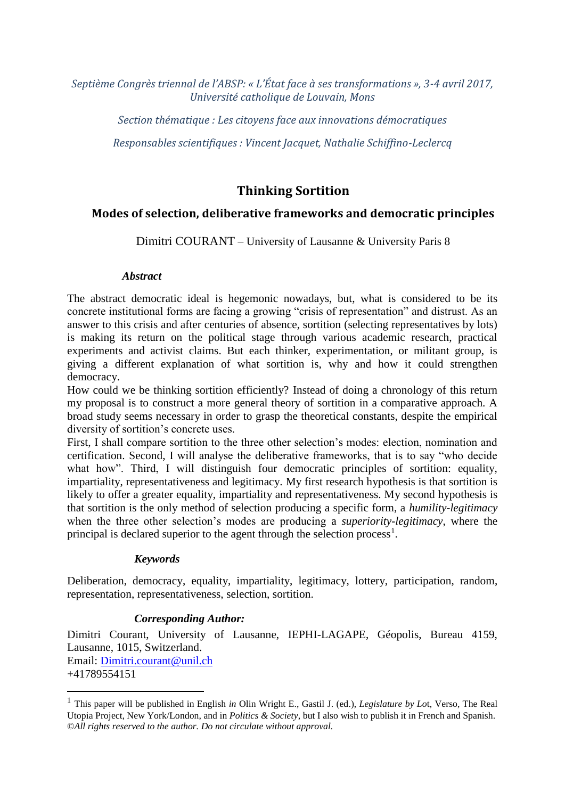*Septième Congrès triennal de l'ABSP: « L'État face à ses transformations », 3-4 avril 2017, Université catholique de Louvain, Mons*

*Section thématique : Les citoyens face aux innovations démocratiques Responsables scientifiques : Vincent Jacquet, Nathalie Schiffino-Leclercq*

# **Thinking Sortition**

# **Modes of selection, deliberative frameworks and democratic principles**

Dimitri COURANT – University of Lausanne & University Paris 8

### *Abstract*

The abstract democratic ideal is hegemonic nowadays, but, what is considered to be its concrete institutional forms are facing a growing "crisis of representation" and distrust. As an answer to this crisis and after centuries of absence, sortition (selecting representatives by lots) is making its return on the political stage through various academic research, practical experiments and activist claims. But each thinker, experimentation, or militant group, is giving a different explanation of what sortition is, why and how it could strengthen democracy.

How could we be thinking sortition efficiently? Instead of doing a chronology of this return my proposal is to construct a more general theory of sortition in a comparative approach. A broad study seems necessary in order to grasp the theoretical constants, despite the empirical diversity of sortition's concrete uses.

First, I shall compare sortition to the three other selection's modes: election, nomination and certification. Second, I will analyse the deliberative frameworks, that is to say "who decide what how". Third, I will distinguish four democratic principles of sortition: equality, impartiality, representativeness and legitimacy. My first research hypothesis is that sortition is likely to offer a greater equality, impartiality and representativeness. My second hypothesis is that sortition is the only method of selection producing a specific form, a *humility-legitimacy* when the three other selection's modes are producing a *superiority-legitimacy*, where the principal is declared superior to the agent through the selection process<sup>1</sup>.

### *Keywords*

Deliberation, democracy, equality, impartiality, legitimacy, lottery, participation, random, representation, representativeness, selection, sortition.

### *Corresponding Author:*

Dimitri Courant, University of Lausanne, IEPHI-LAGAPE, Géopolis, Bureau 4159, Lausanne, 1015, Switzerland. Email: [Dimitri.courant@unil.ch](mailto:Dimitri.courant@unil.ch)

<sup>+41789554151</sup>

<sup>1</sup> This paper will be published in English *in* Olin Wright E., Gastil J. (ed.), *Legislature by Lo*t, Verso, The Real Utopia Project, New York/London, and in *Politics & Society*, but I also wish to publish it in French and Spanish. ©*All rights reserved to the author. Do not circulate without approval.*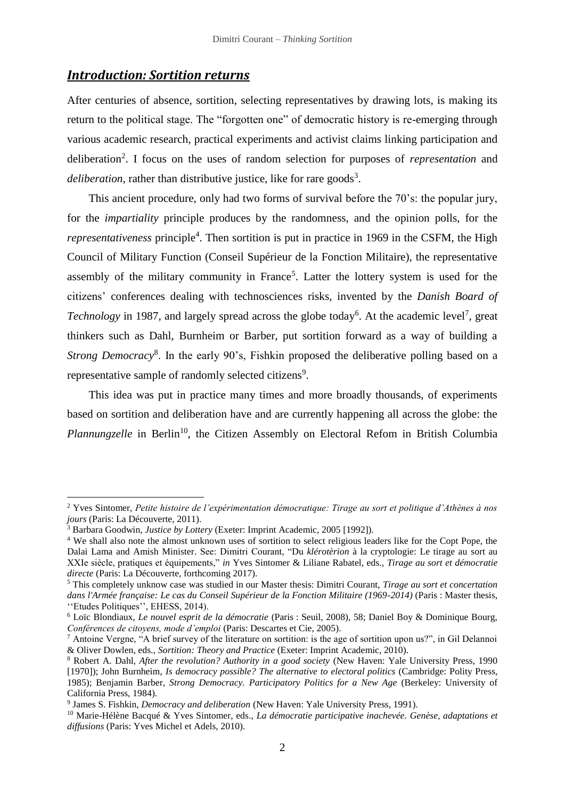### *Introduction: Sortition returns*

After centuries of absence, sortition, selecting representatives by drawing lots, is making its return to the political stage. The "forgotten one" of democratic history is re-emerging through various academic research, practical experiments and activist claims linking participation and deliberation 2 . I focus on the uses of random selection for purposes of *representation* and *deliberation*, rather than distributive justice, like for rare goods<sup>3</sup>.

This ancient procedure, only had two forms of survival before the 70's: the popular jury, for the *impartiality* principle produces by the randomness, and the opinion polls, for the *representativeness* principle<sup>4</sup>. Then sortition is put in practice in 1969 in the CSFM, the High Council of Military Function (Conseil Supérieur de la Fonction Militaire), the representative assembly of the military community in France<sup>5</sup>. Latter the lottery system is used for the citizens' conferences dealing with technosciences risks, invented by the *Danish Board of*  Technology in 1987, and largely spread across the globe today<sup>6</sup>. At the academic level<sup>7</sup>, great thinkers such as Dahl, Burnheim or Barber, put sortition forward as a way of building a Strong Democracy<sup>8</sup>. In the early 90's, Fishkin proposed the deliberative polling based on a representative sample of randomly selected citizens<sup>9</sup>.

This idea was put in practice many times and more broadly thousands, of experiments based on sortition and deliberation have and are currently happening all across the globe: the *Plannungzelle* in Berlin<sup>10</sup>, the Citizen Assembly on Electoral Refom in British Columbia

<sup>2</sup> Yves Sintomer, *Petite histoire de l'expérimentation démocratique: Tirage au sort et politique d'Athènes à nos jours* (Paris: La Découverte, 2011).

<sup>3</sup> Barbara Goodwin, *Justice by Lottery* (Exeter: Imprint Academic, 2005 [1992]).

<sup>4</sup> We shall also note the almost unknown uses of sortition to select religious leaders like for the Copt Pope, the Dalai Lama and Amish Minister. See: Dimitri Courant, "Du *klérotèrion* à la cryptologie: Le tirage au sort au XXIe siècle, pratiques et équipements," *in* Yves Sintomer & Liliane Rabatel, eds., *Tirage au sort et démocratie directe* (Paris: La Découverte, forthcoming 2017).

<sup>5</sup> This completely unknow case was studied in our Master thesis: Dimitri Courant, *Tirage au sort et concertation dans l'Armée française: Le cas du Conseil Supérieur de la Fonction Militaire (1969-2014)* (Paris : Master thesis, ''Etudes Politiques'', EHESS, 2014).

<sup>6</sup> Loïc Blondiaux, *Le nouvel esprit de la démocratie* (Paris : Seuil, 2008), 58; Daniel Boy & Dominique Bourg, *Conférences de citoyens, mode d'emploi* (Paris: Descartes et Cie, 2005).

<sup>7</sup> Antoine Vergne, "A brief survey of the literature on sortition: is the age of sortition upon us?", in Gil Delannoi & Oliver Dowlen, eds., *Sortition: Theory and Practice* (Exeter: Imprint Academic, 2010).

<sup>8</sup> Robert A. Dahl, *After the revolution? Authority in a good society* (New Haven: Yale University Press, 1990 [1970]); John Burnheim, *Is democracy possible? The alternative to electoral politics* (Cambridge: Polity Press, 1985); Benjamin Barber, *Strong Democracy. Participatory Politics for a New Age* (Berkeley: University of California Press, 1984).

<sup>9</sup> James S. Fishkin, *Democracy and deliberation* (New Haven: Yale University Press, 1991).

<sup>&</sup>lt;sup>10</sup> Marie-Hélène Bacqué & Yves Sintomer, eds., *La démocratie participative inachevée. Genèse, adaptations et diffusions* (Paris: Yves Michel et Adels, 2010).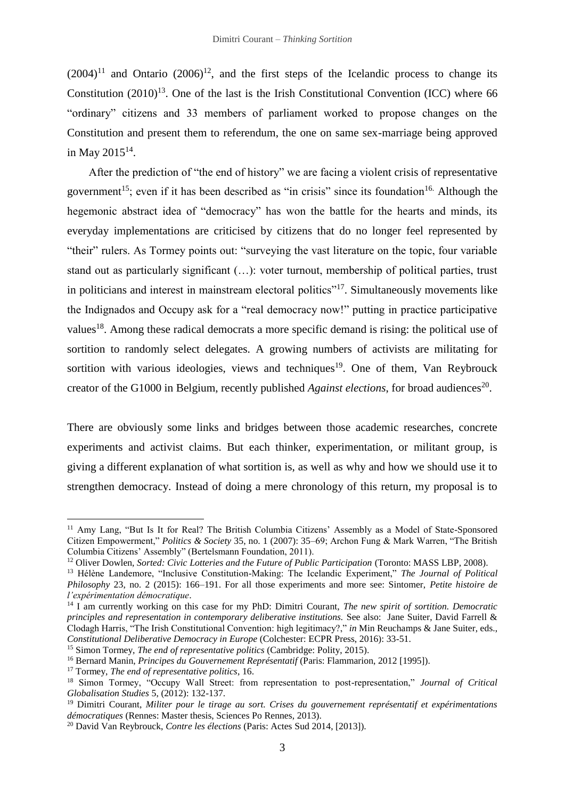$(2004)^{11}$  and Ontario  $(2006)^{12}$ , and the first steps of the Icelandic process to change its Constitution  $(2010)^{13}$ . One of the last is the Irish Constitutional Convention (ICC) where 66 "ordinary" citizens and 33 members of parliament worked to propose changes on the Constitution and present them to referendum, the one on same sex-marriage being approved in May  $2015^{14}$ .

After the prediction of "the end of history" we are facing a violent crisis of representative government<sup>15</sup>; even if it has been described as "in crisis" since its foundation<sup>16.</sup> Although the hegemonic abstract idea of "democracy" has won the battle for the hearts and minds, its everyday implementations are criticised by citizens that do no longer feel represented by "their" rulers. As Tormey points out: "surveying the vast literature on the topic, four variable stand out as particularly significant (…): voter turnout, membership of political parties, trust in politicians and interest in mainstream electoral politics"<sup>17</sup>. Simultaneously movements like the Indignados and Occupy ask for a "real democracy now!" putting in practice participative values<sup>18</sup>. Among these radical democrats a more specific demand is rising: the political use of sortition to randomly select delegates. A growing numbers of activists are militating for sortition with various ideologies, views and techniques<sup>19</sup>. One of them, Van Reybrouck creator of the G1000 in Belgium, recently published *Against elections*, for broad audiences<sup>20</sup>.

There are obviously some links and bridges between those academic researches, concrete experiments and activist claims. But each thinker, experimentation, or militant group, is giving a different explanation of what sortition is, as well as why and how we should use it to strengthen democracy. Instead of doing a mere chronology of this return, my proposal is to

<sup>11</sup> Amy Lang, "But Is It for Real? The British Columbia Citizens' Assembly as a Model of State-Sponsored Citizen Empowerment," *Politics & Society* 35, no. 1 (2007): 35–69; Archon Fung & Mark Warren, "The British Columbia Citizens' Assembly" (Bertelsmann Foundation, 2011).

<sup>12</sup> Oliver Dowlen, *Sorted: Civic Lotteries and the Future of Public Participation* (Toronto: MASS LBP, 2008).

<sup>13</sup> Hélène Landemore, "Inclusive Constitution-Making: The Icelandic Experiment," *The Journal of Political Philosophy* 23, no. 2 (2015): 166–191. For all those experiments and more see: Sintomer, *Petite histoire de l'expérimentation démocratique*.

<sup>&</sup>lt;sup>14</sup> I am currently working on this case for my PhD: Dimitri Courant, *The new spirit of sortition*. Democratic *principles and representation in contemporary deliberative institutions.* See also: Jane Suiter, David Farrell & Clodagh Harris, "The Irish Constitutional Convention: high legitimacy?," *in* Min Reuchamps & Jane Suiter, eds., *Constitutional Deliberative Democracy in Europe* (Colchester: ECPR Press, 2016): 33-51.

<sup>15</sup> Simon Tormey, *The end of representative politics* (Cambridge: Polity, 2015).

<sup>16</sup> Bernard Manin, *Principes du Gouvernement Représentatif* (Paris: Flammarion, 2012 [1995]).

<sup>17</sup> Tormey, *The end of representative politics*, 16.

<sup>18</sup> Simon Tormey, "Occupy Wall Street: from representation to post-representation," *Journal of Critical Globalisation Studies* 5, (2012): 132-137.

<sup>19</sup> Dimitri Courant, *Militer pour le tirage au sort. Crises du gouvernement représentatif et expérimentations démocratiques* (Rennes: Master thesis, Sciences Po Rennes, 2013).

<sup>20</sup> David Van Reybrouck, *Contre les élections* (Paris: Actes Sud 2014, [2013]).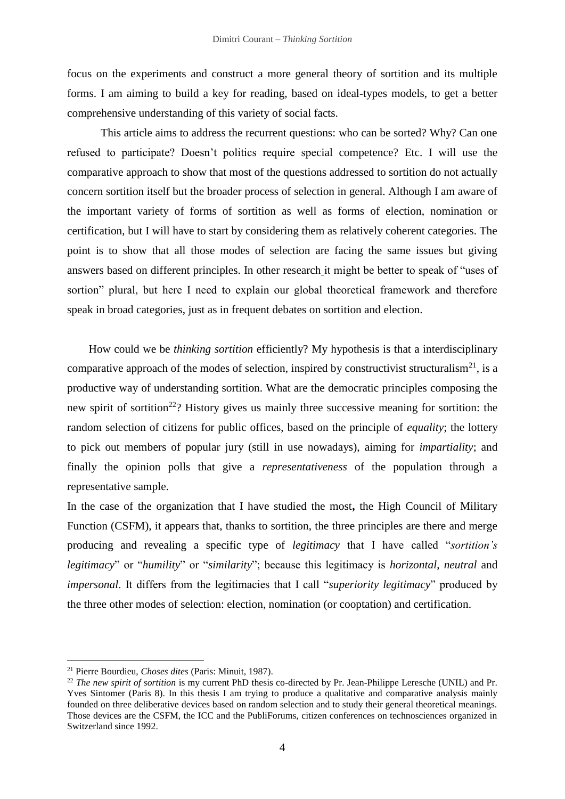focus on the experiments and construct a more general theory of sortition and its multiple forms. I am aiming to build a key for reading, based on ideal-types models, to get a better comprehensive understanding of this variety of social facts.

This article aims to address the recurrent questions: who can be sorted? Why? Can one refused to participate? Doesn't politics require special competence? Etc. I will use the comparative approach to show that most of the questions addressed to sortition do not actually concern sortition itself but the broader process of selection in general. Although I am aware of the important variety of forms of sortition as well as forms of election, nomination or certification, but I will have to start by considering them as relatively coherent categories. The point is to show that all those modes of selection are facing the same issues but giving answers based on different principles. In other research it might be better to speak of "uses of sortion" plural, but here I need to explain our global theoretical framework and therefore speak in broad categories, just as in frequent debates on sortition and election.

How could we be *thinking sortition* efficiently? My hypothesis is that a interdisciplinary comparative approach of the modes of selection, inspired by constructivist structuralism<sup>21</sup>, is a productive way of understanding sortition. What are the democratic principles composing the new spirit of sortition<sup>22</sup>? History gives us mainly three successive meaning for sortition: the random selection of citizens for public offices, based on the principle of *equality*; the lottery to pick out members of popular jury (still in use nowadays), aiming for *impartiality*; and finally the opinion polls that give a *representativeness* of the population through a representative sample.

In the case of the organization that I have studied the most**,** the High Council of Military Function (CSFM), it appears that, thanks to sortition, the three principles are there and merge producing and revealing a specific type of *legitimacy* that I have called "*sortition's legitimacy*" or "*humility*" or "*similarity*"; because this legitimacy is *horizontal*, *neutral* and *impersonal*. It differs from the legitimacies that I call "*superiority legitimacy*" produced by the three other modes of selection: election, nomination (or cooptation) and certification.

<sup>21</sup> Pierre Bourdieu, *Choses dites* (Paris: Minuit, 1987).

<sup>&</sup>lt;sup>22</sup> *The new spirit of sortition* is my current PhD thesis co-directed by Pr. Jean-Philippe Leresche (UNIL) and Pr. Yves Sintomer (Paris 8). In this thesis I am trying to produce a qualitative and comparative analysis mainly founded on three deliberative devices based on random selection and to study their general theoretical meanings. Those devices are the CSFM, the ICC and the PubliForums, citizen conferences on technosciences organized in Switzerland since 1992.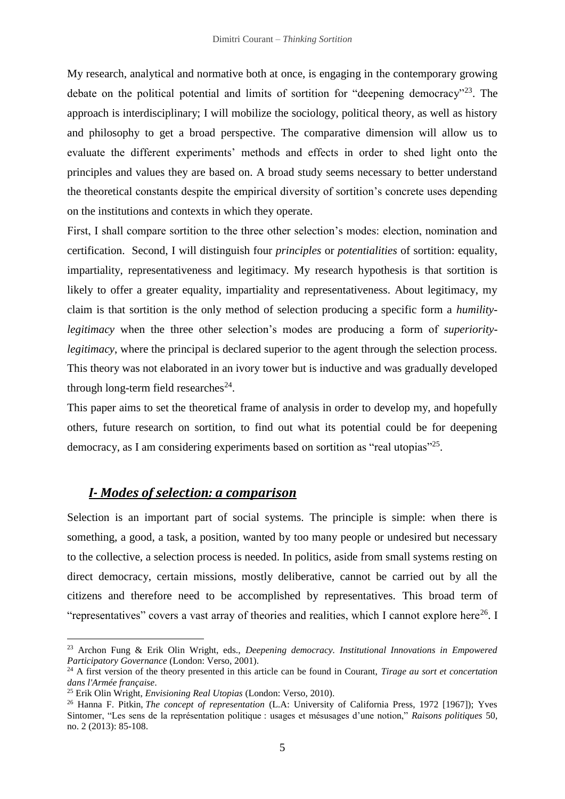My research, analytical and normative both at once, is engaging in the contemporary growing debate on the political potential and limits of sortition for "deepening democracy"<sup>23</sup>. The approach is interdisciplinary; I will mobilize the sociology, political theory, as well as history and philosophy to get a broad perspective. The comparative dimension will allow us to evaluate the different experiments' methods and effects in order to shed light onto the principles and values they are based on. A broad study seems necessary to better understand the theoretical constants despite the empirical diversity of sortition's concrete uses depending on the institutions and contexts in which they operate.

First, I shall compare sortition to the three other selection's modes: election, nomination and certification. Second, I will distinguish four *principles* or *potentialities* of sortition: equality, impartiality, representativeness and legitimacy. My research hypothesis is that sortition is likely to offer a greater equality, impartiality and representativeness. About legitimacy, my claim is that sortition is the only method of selection producing a specific form a *humilitylegitimacy* when the three other selection's modes are producing a form of *superioritylegitimacy*, where the principal is declared superior to the agent through the selection process. This theory was not elaborated in an ivory tower but is inductive and was gradually developed through long-term field researches $^{24}$ .

This paper aims to set the theoretical frame of analysis in order to develop my, and hopefully others, future research on sortition, to find out what its potential could be for deepening democracy, as I am considering experiments based on sortition as "real utopias"<sup>25</sup>.

## *I- Modes of selection: a comparison*

Selection is an important part of social systems. The principle is simple: when there is something, a good, a task, a position, wanted by too many people or undesired but necessary to the collective, a selection process is needed. In politics, aside from small systems resting on direct democracy, certain missions, mostly deliberative, cannot be carried out by all the citizens and therefore need to be accomplished by representatives. This broad term of "representatives" covers a vast array of theories and realities, which I cannot explore here<sup>26</sup>. I

<sup>23</sup> Archon Fung & Erik Olin Wright, eds., *Deepening democracy. Institutional Innovations in Empowered Participatory Governance* (London: Verso, 2001).

<sup>24</sup> A first version of the theory presented in this article can be found in Courant, *Tirage au sort et concertation dans l'Armée française*.

<sup>25</sup> Erik Olin Wright, *Envisioning Real Utopias* (London: Verso, 2010).

<sup>26</sup> Hanna F. Pitkin, *The concept of representation* (L.A: University of California Press, 1972 [1967]); Yves Sintomer, "Les sens de la représentation politique : usages et mésusages d'une notion," *Raisons politiques* 50, no. 2 (2013): 85-108.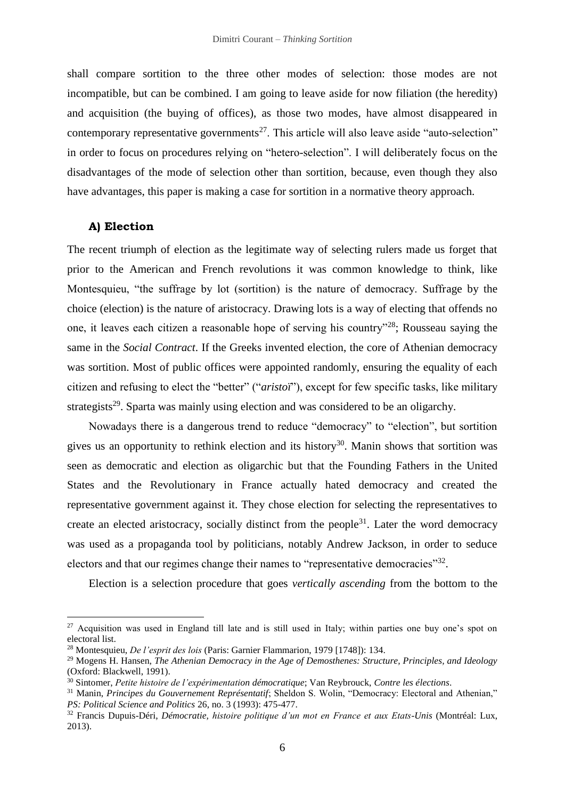shall compare sortition to the three other modes of selection: those modes are not incompatible, but can be combined. I am going to leave aside for now filiation (the heredity) and acquisition (the buying of offices), as those two modes, have almost disappeared in contemporary representative governments<sup>27</sup>. This article will also leave aside "auto-selection" in order to focus on procedures relying on "hetero-selection". I will deliberately focus on the disadvantages of the mode of selection other than sortition, because, even though they also have advantages, this paper is making a case for sortition in a normative theory approach.

### **A) Election**

1

The recent triumph of election as the legitimate way of selecting rulers made us forget that prior to the American and French revolutions it was common knowledge to think, like Montesquieu, "the suffrage by lot (sortition) is the nature of democracy. Suffrage by the choice (election) is the nature of aristocracy. Drawing lots is a way of electing that offends no one, it leaves each citizen a reasonable hope of serving his country"<sup>28</sup>; Rousseau saying the same in the *Social Contract*. If the Greeks invented election, the core of Athenian democracy was sortition. Most of public offices were appointed randomly, ensuring the equality of each citizen and refusing to elect the "better" ("*aristoï*"), except for few specific tasks, like military strategists<sup>29</sup>. Sparta was mainly using election and was considered to be an oligarchy.

Nowadays there is a dangerous trend to reduce "democracy" to "election", but sortition gives us an opportunity to rethink election and its history<sup>30</sup>. Manin shows that sortition was seen as democratic and election as oligarchic but that the Founding Fathers in the United States and the Revolutionary in France actually hated democracy and created the representative government against it. They chose election for selecting the representatives to create an elected aristocracy, socially distinct from the people<sup>31</sup>. Later the word democracy was used as a propaganda tool by politicians, notably Andrew Jackson, in order to seduce electors and that our regimes change their names to "representative democracies"<sup>32</sup>.

Election is a selection procedure that goes *vertically ascending* from the bottom to the

<sup>&</sup>lt;sup>27</sup> Acquisition was used in England till late and is still used in Italy; within parties one buy one's spot on electoral list.

<sup>28</sup> Montesquieu, *De l'esprit des lois* (Paris: Garnier Flammarion, 1979 [1748]): 134.

<sup>29</sup> Mogens H. Hansen, *The Athenian Democracy in the Age of Demosthenes: Structure, Principles, and Ideology* (Oxford: Blackwell, 1991).

<sup>30</sup> Sintomer, *Petite histoire de l'expérimentation démocratique*; Van Reybrouck, *Contre les élections*.

<sup>&</sup>lt;sup>31</sup> Manin, *Principes du Gouvernement Représentatif*; Sheldon S. Wolin, "Democracy: Electoral and Athenian," *PS: Political Science and Politics* 26, no. 3 (1993): 475-477.

<sup>32</sup> Francis Dupuis-Déri, *Démocratie, histoire politique d'un mot en France et aux Etats-Unis* (Montréal: Lux, 2013).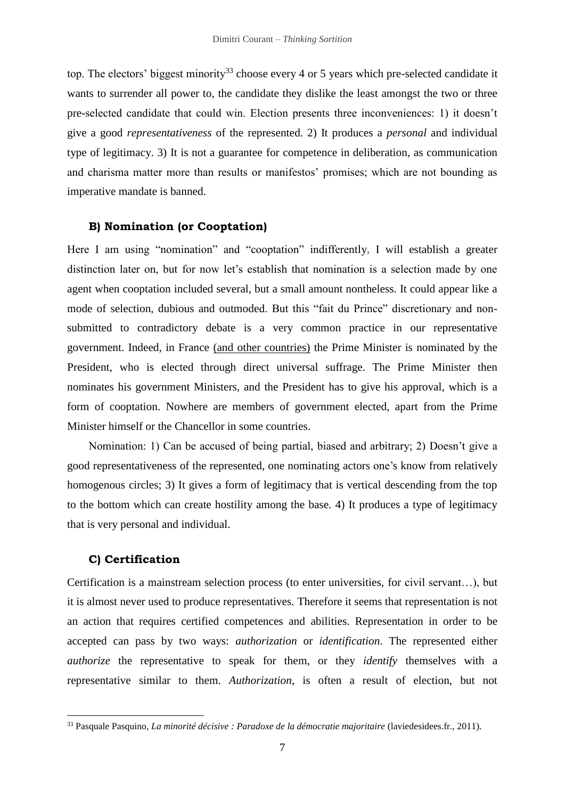top. The electors' biggest minority<sup>33</sup> choose every 4 or 5 years which pre-selected candidate it wants to surrender all power to, the candidate they dislike the least amongst the two or three pre-selected candidate that could win. Election presents three inconveniences: 1) it doesn't give a good *representativeness* of the represented. 2) It produces a *personal* and individual type of legitimacy. 3) It is not a guarantee for competence in deliberation, as communication and charisma matter more than results or manifestos' promises; which are not bounding as imperative mandate is banned.

### **B) Nomination (or Cooptation)**

Here I am using "nomination" and "cooptation" indifferently**,** I will establish a greater distinction later on, but for now let's establish that nomination is a selection made by one agent when cooptation included several, but a small amount nontheless. It could appear like a mode of selection, dubious and outmoded. But this "fait du Prince" discretionary and nonsubmitted to contradictory debate is a very common practice in our representative government. Indeed, in France (and other countries) the Prime Minister is nominated by the President, who is elected through direct universal suffrage. The Prime Minister then nominates his government Ministers, and the President has to give his approval, which is a form of cooptation. Nowhere are members of government elected, apart from the Prime Minister himself or the Chancellor in some countries.

Nomination: 1) Can be accused of being partial, biased and arbitrary; 2) Doesn't give a good representativeness of the represented, one nominating actors one's know from relatively homogenous circles; 3) It gives a form of legitimacy that is vertical descending from the top to the bottom which can create hostility among the base. 4) It produces a type of legitimacy that is very personal and individual.

### **C) Certification**

1

Certification is a mainstream selection process (to enter universities, for civil servant…), but it is almost never used to produce representatives. Therefore it seems that representation is not an action that requires certified competences and abilities. Representation in order to be accepted can pass by two ways: *authorization* or *identification*. The represented either *authorize* the representative to speak for them, or they *identify* themselves with a representative similar to them. *Authorization*, is often a result of election, but not

<sup>33</sup> Pasquale Pasquino, *La minorité décisive : Paradoxe de la démocratie majoritaire* (laviedesidees.fr., 2011).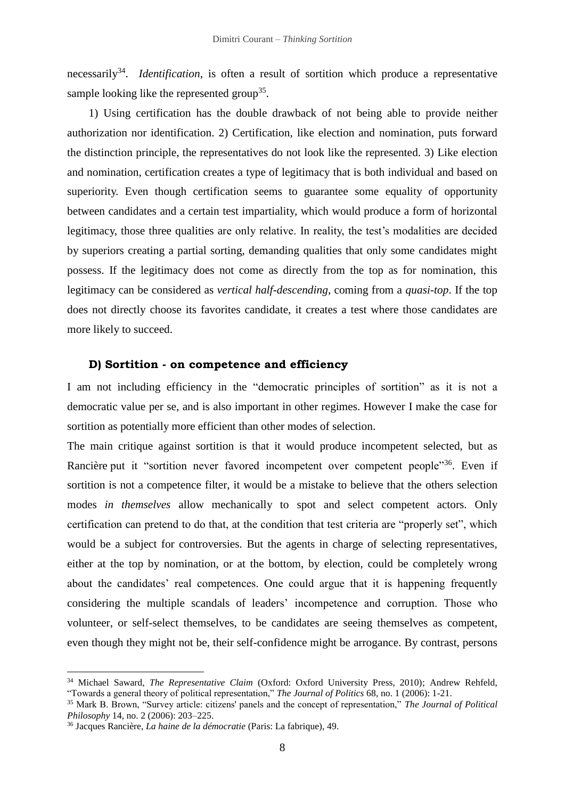necessarily<sup>34</sup>. *Identification*, is often a result of sortition which produce a representative sample looking like the represented group<sup>35</sup>.

1) Using certification has the double drawback of not being able to provide neither authorization nor identification. 2) Certification, like election and nomination, puts forward the distinction principle, the representatives do not look like the represented. 3) Like election and nomination, certification creates a type of legitimacy that is both individual and based on superiority. Even though certification seems to guarantee some equality of opportunity between candidates and a certain test impartiality, which would produce a form of horizontal legitimacy, those three qualities are only relative. In reality, the test's modalities are decided by superiors creating a partial sorting, demanding qualities that only some candidates might possess. If the legitimacy does not come as directly from the top as for nomination, this legitimacy can be considered as *vertical half-descending*, coming from a *quasi-top*. If the top does not directly choose its favorites candidate, it creates a test where those candidates are more likely to succeed.

### **D) Sortition - on competence and efficiency**

I am not including efficiency in the "democratic principles of sortition" as it is not a democratic value per se, and is also important in other regimes. However I make the case for sortition as potentially more efficient than other modes of selection.

The main critique against sortition is that it would produce incompetent selected, but as Rancière put it "sortition never favored incompetent over competent people<sup>"36</sup>. Even if sortition is not a competence filter, it would be a mistake to believe that the others selection modes *in themselves* allow mechanically to spot and select competent actors. Only certification can pretend to do that, at the condition that test criteria are "properly set", which would be a subject for controversies. But the agents in charge of selecting representatives, either at the top by nomination, or at the bottom, by election, could be completely wrong about the candidates' real competences. One could argue that it is happening frequently considering the multiple scandals of leaders' incompetence and corruption. Those who volunteer, or self-select themselves, to be candidates are seeing themselves as competent, even though they might not be, their self-confidence might be arrogance. By contrast, persons

<sup>34</sup> Michael Saward, *The Representative Claim* (Oxford: Oxford University Press, 2010); Andrew Rehfeld, "Towards a general theory of political representation," *The Journal of Politics* 68, no. 1 (2006): 1-21.

<sup>35</sup> Mark B. Brown, "Survey article: citizens' panels and the concept of representation," *The Journal of Political Philosophy* 14, no. 2 (2006): 203–225.

<sup>36</sup> Jacques Rancière, *La haine de la démocratie* (Paris: La fabrique), 49.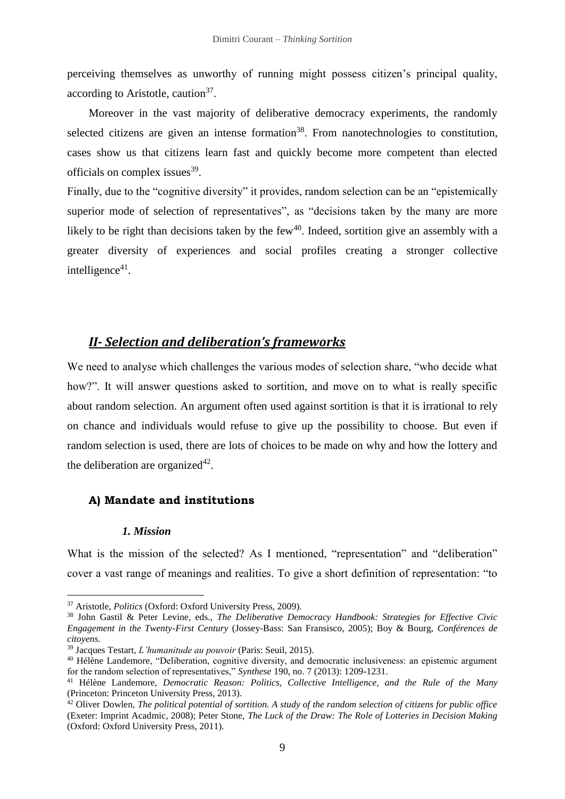perceiving themselves as unworthy of running might possess citizen's principal quality, according to Aristotle, caution<sup>37</sup>.

Moreover in the vast majority of deliberative democracy experiments, the randomly selected citizens are given an intense formation<sup>38</sup>. From nanotechnologies to constitution, cases show us that citizens learn fast and quickly become more competent than elected officials on complex issues<sup>39</sup>.

Finally, due to the "cognitive diversity" it provides, random selection can be an "epistemically superior mode of selection of representatives", as "decisions taken by the many are more likely to be right than decisions taken by the few<sup>40</sup>. Indeed, sortition give an assembly with a greater diversity of experiences and social profiles creating a stronger collective intelligence<sup>41</sup>.

## *II- Selection and deliberation's frameworks*

We need to analyse which challenges the various modes of selection share, "who decide what how?". It will answer questions asked to sortition, and move on to what is really specific about random selection. An argument often used against sortition is that it is irrational to rely on chance and individuals would refuse to give up the possibility to choose. But even if random selection is used, there are lots of choices to be made on why and how the lottery and the deliberation are organized $42$ .

### **A) Mandate and institutions**

#### *1. Mission*

1

What is the mission of the selected? As I mentioned, "representation" and "deliberation" cover a vast range of meanings and realities. To give a short definition of representation: "to

<sup>37</sup> Aristotle, *Politics* (Oxford: Oxford University Press, 2009).

<sup>38</sup> John Gastil & Peter Levine, eds., *The Deliberative Democracy Handbook: Strategies for Effective Civic Engagement in the Twenty-First Century* (Jossey-Bass: San Fransisco, 2005); Boy & Bourg, *Conférences de citoyens.*

<sup>39</sup> Jacques Testart, *L'humanitude au pouvoir* (Paris: Seuil, 2015).

<sup>40</sup> Hélène Landemore, "Deliberation, cognitive diversity, and democratic inclusiveness: an epistemic argument for the random selection of representatives," *Synthese* 190, no. 7 (2013): 1209-1231.

<sup>41</sup> Hélène Landemore, *Democratic Reason: Politics, Collective Intelligence, and the Rule of the Many* (Princeton: Princeton University Press, 2013).

<sup>42</sup> Oliver Dowlen, *The political potential of sortition. A study of the random selection of citizens for public office* (Exeter: Imprint Acadmic, 2008); Peter Stone, *The Luck of the Draw: The Role of Lotteries in Decision Making* (Oxford: Oxford University Press, 2011).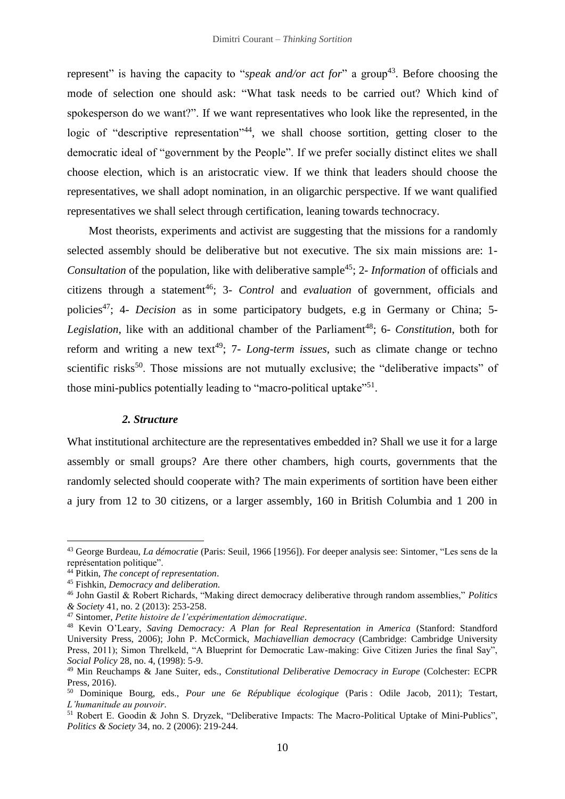represent" is having the capacity to "*speak and/or act for*" a group<sup>43</sup>. Before choosing the mode of selection one should ask: "What task needs to be carried out? Which kind of spokesperson do we want?". If we want representatives who look like the represented, in the logic of "descriptive representation"<sup>44</sup>, we shall choose sortition, getting closer to the democratic ideal of "government by the People". If we prefer socially distinct elites we shall choose election, which is an aristocratic view. If we think that leaders should choose the representatives, we shall adopt nomination, in an oligarchic perspective. If we want qualified representatives we shall select through certification, leaning towards technocracy.

Most theorists, experiments and activist are suggesting that the missions for a randomly selected assembly should be deliberative but not executive. The six main missions are: 1- *Consultation* of the population, like with deliberative sample<sup>45</sup>; 2- *Information* of officials and citizens through a statement<sup>46</sup>; 3- *Control* and *evaluation* of government, officials and policies<sup>47</sup>; 4- *Decision* as in some participatory budgets, e.g in Germany or China; 5- *Legislation*, like with an additional chamber of the Parliament<sup>48</sup>; 6- *Constitution*, both for reform and writing a new text<sup>49</sup>; 7- *Long-term issues*, such as climate change or techno scientific risks<sup>50</sup>. Those missions are not mutually exclusive; the "deliberative impacts" of those mini-publics potentially leading to "macro-political uptake"<sup>51</sup>.

### *2. Structure*

What institutional architecture are the representatives embedded in? Shall we use it for a large assembly or small groups? Are there other chambers, high courts, governments that the randomly selected should cooperate with? The main experiments of sortition have been either a jury from 12 to 30 citizens, or a larger assembly, 160 in British Columbia and 1 200 in

<sup>43</sup> George Burdeau, *La démocratie* (Paris: Seuil, 1966 [1956]). For deeper analysis see: Sintomer, "Les sens de la représentation politique".

<sup>44</sup> Pitkin, *The concept of representation*.

<sup>45</sup> Fishkin, *Democracy and deliberation.*

<sup>46</sup> John Gastil & Robert Richards, "Making direct democracy deliberative through random assemblies," *Politics & Society* 41, no. 2 (2013): 253-258.

<sup>47</sup> Sintomer, *Petite histoire de l'expérimentation démocratique*.

<sup>48</sup> Kevin O'Leary, *Saving Democracy: A Plan for Real Representation in America* (Stanford: Standford University Press, 2006); John P. McCormick, *Machiavellian democracy* (Cambridge: Cambridge University Press, 2011); Simon Threlkeld, "A Blueprint for Democratic Law-making: Give Citizen Juries the final Say", *Social Policy* 28, no. 4, (1998): 5-9.

<sup>49</sup> Min Reuchamps & Jane Suiter, eds., *Constitutional Deliberative Democracy in Europe* (Colchester: ECPR Press, 2016).

<sup>50</sup> Dominique Bourg, eds., *Pour une 6e République écologique* (Paris : Odile Jacob, 2011); Testart, *L'humanitude au pouvoir*.

<sup>51</sup> Robert E. Goodin & John S. Dryzek, "Deliberative Impacts: The Macro-Political Uptake of Mini-Publics", *Politics & Society* 34, no. 2 (2006): 219-244.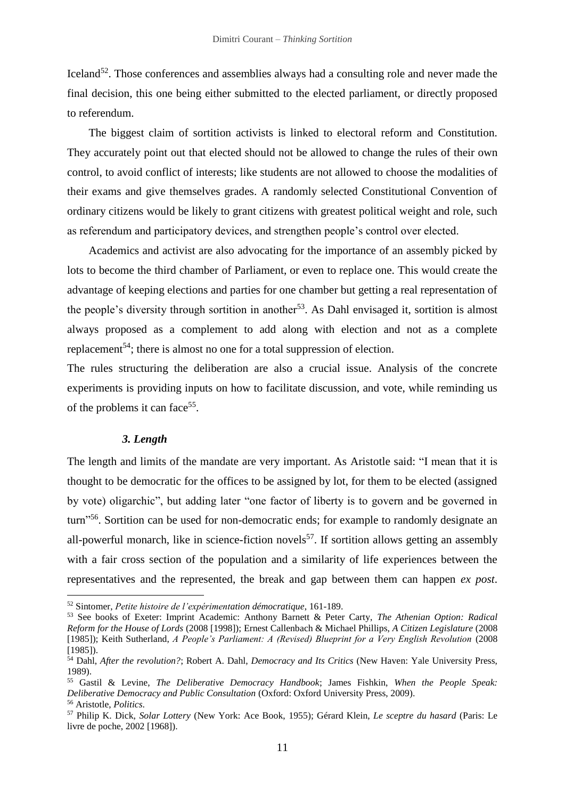Iceland<sup>52</sup>. Those conferences and assemblies always had a consulting role and never made the final decision, this one being either submitted to the elected parliament, or directly proposed to referendum.

The biggest claim of sortition activists is linked to electoral reform and Constitution. They accurately point out that elected should not be allowed to change the rules of their own control, to avoid conflict of interests; like students are not allowed to choose the modalities of their exams and give themselves grades. A randomly selected Constitutional Convention of ordinary citizens would be likely to grant citizens with greatest political weight and role, such as referendum and participatory devices, and strengthen people's control over elected.

Academics and activist are also advocating for the importance of an assembly picked by lots to become the third chamber of Parliament, or even to replace one. This would create the advantage of keeping elections and parties for one chamber but getting a real representation of the people's diversity through sortition in another<sup>53</sup>. As Dahl envisaged it, sortition is almost always proposed as a complement to add along with election and not as a complete replacement<sup>54</sup>; there is almost no one for a total suppression of election.

The rules structuring the deliberation are also a crucial issue. Analysis of the concrete experiments is providing inputs on how to facilitate discussion, and vote, while reminding us of the problems it can face<sup>55</sup>.

#### *3. Length*

1

The length and limits of the mandate are very important. As Aristotle said: "I mean that it is thought to be democratic for the offices to be assigned by lot, for them to be elected (assigned by vote) oligarchic", but adding later "one factor of liberty is to govern and be governed in turn"<sup>56</sup>. Sortition can be used for non-democratic ends; for example to randomly designate an all-powerful monarch, like in science-fiction novels<sup>57</sup>. If sortition allows getting an assembly with a fair cross section of the population and a similarity of life experiences between the representatives and the represented, the break and gap between them can happen *ex post*.

<sup>52</sup> Sintomer, *Petite histoire de l'expérimentation démocratique*, 161-189.

<sup>53</sup> See books of Exeter: Imprint Academic: Anthony Barnett & Peter Carty, *The Athenian Option: Radical Reform for the House of Lords* (2008 [1998]); Ernest Callenbach & Michael Phillips, *A Citizen Legislature* (2008 [1985]); Keith Sutherland, *A People's Parliament: A (Revised) Blueprint for a Very English Revolution* (2008 [1985]).

<sup>54</sup> Dahl, *After the revolution?*; Robert A. Dahl, *Democracy and Its Critics* (New Haven: Yale University Press, 1989).

<sup>55</sup> Gastil & Levine, *The Deliberative Democracy Handbook*; James Fishkin, *When the People Speak: Deliberative Democracy and Public Consultation* (Oxford: Oxford University Press, 2009). <sup>56</sup> Aristotle, *Politics*.

<sup>57</sup> Philip K. Dick, *Solar Lottery* (New York: Ace Book, 1955); Gérard Klein, *Le sceptre du hasard* (Paris: Le livre de poche, 2002 [1968]).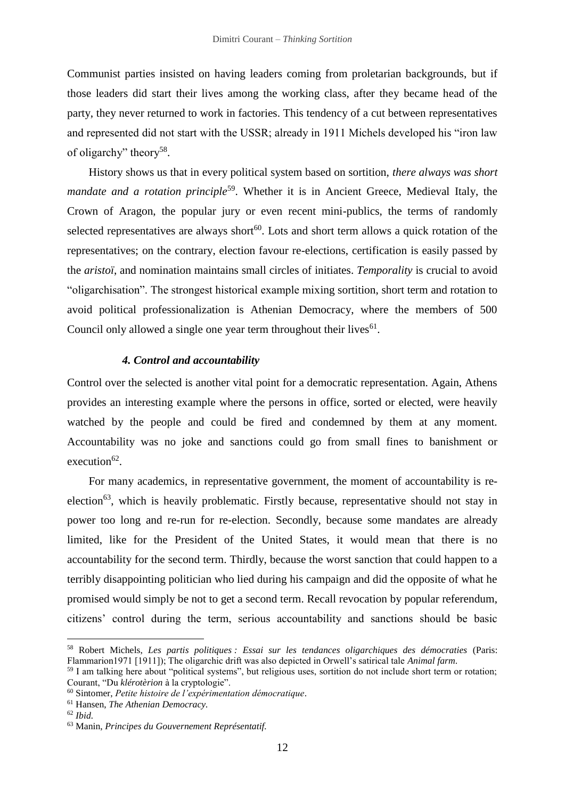Communist parties insisted on having leaders coming from proletarian backgrounds, but if those leaders did start their lives among the working class, after they became head of the party, they never returned to work in factories. This tendency of a cut between representatives and represented did not start with the USSR; already in 1911 Michels developed his "iron law of oligarchy" theory<sup>58</sup>.

History shows us that in every political system based on sortition, *there always was short mandate and a rotation principle*<sup>59</sup>. Whether it is in Ancient Greece, Medieval Italy, the Crown of Aragon, the popular jury or even recent mini-publics, the terms of randomly selected representatives are always short $^{60}$ . Lots and short term allows a quick rotation of the representatives; on the contrary, election favour re-elections, certification is easily passed by the *aristoï*, and nomination maintains small circles of initiates. *Temporality* is crucial to avoid "oligarchisation". The strongest historical example mixing sortition, short term and rotation to avoid political professionalization is Athenian Democracy, where the members of 500 Council only allowed a single one year term throughout their lives $61$ .

### *4. Control and accountability*

Control over the selected is another vital point for a democratic representation. Again, Athens provides an interesting example where the persons in office, sorted or elected, were heavily watched by the people and could be fired and condemned by them at any moment. Accountability was no joke and sanctions could go from small fines to banishment or  $e$ xecution<sup>62</sup>.

For many academics, in representative government, the moment of accountability is reelection<sup>63</sup>, which is heavily problematic. Firstly because, representative should not stay in power too long and re-run for re-election. Secondly, because some mandates are already limited, like for the President of the United States, it would mean that there is no accountability for the second term. Thirdly, because the worst sanction that could happen to a terribly disappointing politician who lied during his campaign and did the opposite of what he promised would simply be not to get a second term. Recall revocation by popular referendum, citizens' control during the term, serious accountability and sanctions should be basic

<sup>58</sup> Robert Michels, *Les partis politiques : Essai sur les tendances oligarchiques des démocraties* (Paris: Flammarion1971 [1911]); The oligarchic drift was also depicted in Orwell's satirical tale *Animal farm*.

<sup>&</sup>lt;sup>59</sup> I am talking here about "political systems", but religious uses, sortition do not include short term or rotation; Courant, "Du *klérotèrion* à la cryptologie".

<sup>60</sup> Sintomer, *Petite histoire de l'expérimentation démocratique*.

<sup>61</sup> Hansen, *The Athenian Democracy.*

<sup>62</sup> *Ibid.*

<sup>63</sup> Manin, *Principes du Gouvernement Représentatif.*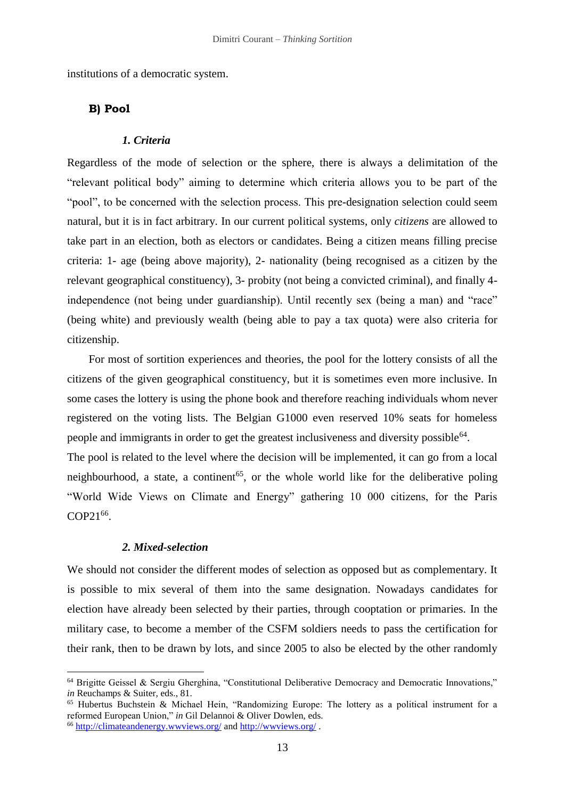institutions of a democratic system.

### **B) Pool**

### *1. Criteria*

Regardless of the mode of selection or the sphere, there is always a delimitation of the "relevant political body" aiming to determine which criteria allows you to be part of the "pool", to be concerned with the selection process. This pre-designation selection could seem natural, but it is in fact arbitrary. In our current political systems, only *citizens* are allowed to take part in an election, both as electors or candidates. Being a citizen means filling precise criteria: 1- age (being above majority), 2- nationality (being recognised as a citizen by the relevant geographical constituency), 3- probity (not being a convicted criminal), and finally 4 independence (not being under guardianship). Until recently sex (being a man) and "race" (being white) and previously wealth (being able to pay a tax quota) were also criteria for citizenship.

For most of sortition experiences and theories, the pool for the lottery consists of all the citizens of the given geographical constituency, but it is sometimes even more inclusive. In some cases the lottery is using the phone book and therefore reaching individuals whom never registered on the voting lists. The Belgian G1000 even reserved 10% seats for homeless people and immigrants in order to get the greatest inclusiveness and diversity possible<sup>64</sup>.

The pool is related to the level where the decision will be implemented, it can go from a local neighbourhood, a state, a continent<sup>65</sup>, or the whole world like for the deliberative poling "World Wide Views on Climate and Energy" gathering 10 000 citizens, for the Paris COP21<sup>66</sup>.

### *2. Mixed-selection*

<u>.</u>

We should not consider the different modes of selection as opposed but as complementary. It is possible to mix several of them into the same designation. Nowadays candidates for election have already been selected by their parties, through cooptation or primaries. In the military case, to become a member of the CSFM soldiers needs to pass the certification for their rank, then to be drawn by lots, and since 2005 to also be elected by the other randomly

<sup>64</sup> Brigitte Geissel & Sergiu Gherghina, "Constitutional Deliberative Democracy and Democratic Innovations," *in* Reuchamps & Suiter, eds., 81.

<sup>65</sup> Hubertus Buchstein & Michael Hein, "Randomizing Europe: The lottery as a political instrument for a reformed European Union," *in* Gil Delannoi & Oliver Dowlen, eds.

<sup>66</sup> <http://climateandenergy.wwviews.org/> and<http://wwviews.org/> .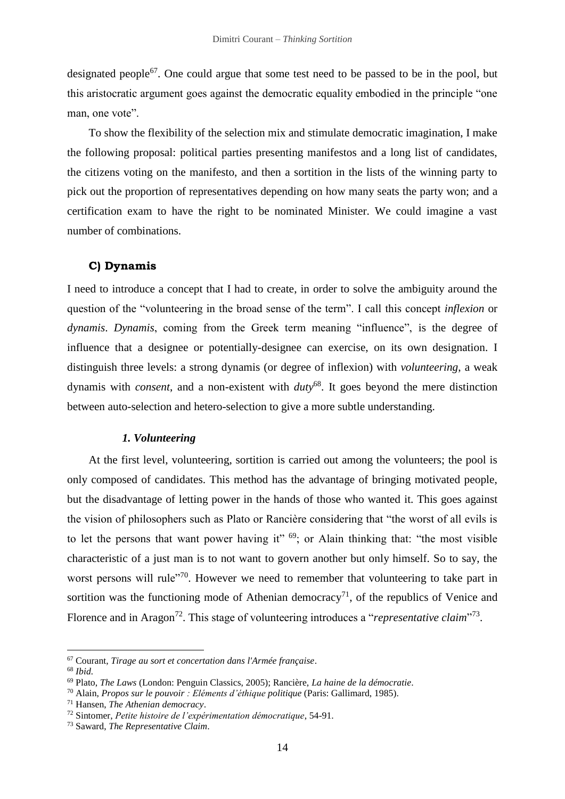designated people<sup>67</sup>. One could argue that some test need to be passed to be in the pool, but this aristocratic argument goes against the democratic equality embodied in the principle "one man, one vote".

To show the flexibility of the selection mix and stimulate democratic imagination, I make the following proposal: political parties presenting manifestos and a long list of candidates, the citizens voting on the manifesto, and then a sortition in the lists of the winning party to pick out the proportion of representatives depending on how many seats the party won; and a certification exam to have the right to be nominated Minister. We could imagine a vast number of combinations.

### **C) Dynamis**

I need to introduce a concept that I had to create, in order to solve the ambiguity around the question of the "volunteering in the broad sense of the term". I call this concept *inflexion* or *dynamis*. *Dynamis*, coming from the Greek term meaning "influence", is the degree of influence that a designee or potentially-designee can exercise, on its own designation. I distinguish three levels: a strong dynamis (or degree of inflexion) with *volunteering*, a weak dynamis with *consent*, and a non-existent with *duty*<sup>68</sup>. It goes beyond the mere distinction between auto-selection and hetero-selection to give a more subtle understanding.

### *1. Volunteering*

At the first level, volunteering, sortition is carried out among the volunteers; the pool is only composed of candidates. This method has the advantage of bringing motivated people, but the disadvantage of letting power in the hands of those who wanted it. This goes against the vision of philosophers such as Plato or Rancière considering that "the worst of all evils is to let the persons that want power having it"  $69$ ; or Alain thinking that: "the most visible characteristic of a just man is to not want to govern another but only himself. So to say, the worst persons will rule<sup>"70</sup>. However we need to remember that volunteering to take part in sortition was the functioning mode of Athenian democracy<sup>71</sup>, of the republics of Venice and Florence and in Aragon<sup>72</sup>. This stage of volunteering introduces a "*representative claim*"<sup>73</sup>.

<sup>67</sup> Courant, *Tirage au sort et concertation dans l'Armée française*.

<sup>68</sup> *Ibid.*

<sup>69</sup> Plato, *The Laws* (London: Penguin Classics, 2005); Rancière, *La haine de la démocratie*.

<sup>70</sup> Alain, *Propos sur le pouvoir : Eléments d'éthique politique* (Paris: Gallimard, 1985).

<sup>71</sup> Hansen, *The Athenian democracy*.

<sup>72</sup> Sintomer, *Petite histoire de l'expérimentation démocratique*, 54-91.

<sup>73</sup> Saward, *The Representative Claim*.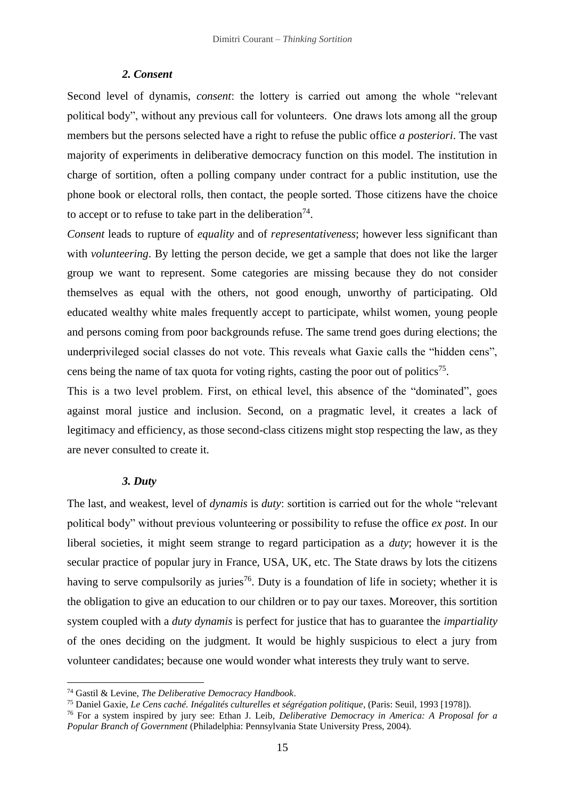### *2. Consent*

Second level of dynamis, *consent*: the lottery is carried out among the whole "relevant political body", without any previous call for volunteers. One draws lots among all the group members but the persons selected have a right to refuse the public office *a posteriori*. The vast majority of experiments in deliberative democracy function on this model. The institution in charge of sortition, often a polling company under contract for a public institution, use the phone book or electoral rolls, then contact, the people sorted. Those citizens have the choice to accept or to refuse to take part in the deliberation<sup>74</sup>.

*Consent* leads to rupture of *equality* and of *representativeness*; however less significant than with *volunteering*. By letting the person decide, we get a sample that does not like the larger group we want to represent. Some categories are missing because they do not consider themselves as equal with the others, not good enough, unworthy of participating. Old educated wealthy white males frequently accept to participate, whilst women, young people and persons coming from poor backgrounds refuse. The same trend goes during elections; the underprivileged social classes do not vote. This reveals what Gaxie calls the "hidden cens", cens being the name of tax quota for voting rights, casting the poor out of politics<sup>75</sup>.

This is a two level problem. First, on ethical level, this absence of the "dominated", goes against moral justice and inclusion. Second, on a pragmatic level, it creates a lack of legitimacy and efficiency, as those second-class citizens might stop respecting the law, as they are never consulted to create it.

### *3. Duty*

1

The last, and weakest, level of *dynamis* is *duty*: sortition is carried out for the whole "relevant political body" without previous volunteering or possibility to refuse the office *ex post*. In our liberal societies, it might seem strange to regard participation as a *duty*; however it is the secular practice of popular jury in France, USA, UK, etc. The State draws by lots the citizens having to serve compulsorily as juries<sup>76</sup>. Duty is a foundation of life in society; whether it is the obligation to give an education to our children or to pay our taxes. Moreover, this sortition system coupled with a *duty dynamis* is perfect for justice that has to guarantee the *impartiality* of the ones deciding on the judgment. It would be highly suspicious to elect a jury from volunteer candidates; because one would wonder what interests they truly want to serve.

<sup>74</sup> Gastil & Levine, *The Deliberative Democracy Handbook*.

<sup>75</sup> Daniel Gaxie, *Le Cens caché. Inégalités culturelles et ségrégation politique*, (Paris: Seuil, 1993 [1978]).

<sup>76</sup> For a system inspired by jury see: Ethan J. Leib, *Deliberative Democracy in America: A Proposal for a Popular Branch of Government* (Philadelphia: Pennsylvania State University Press, 2004).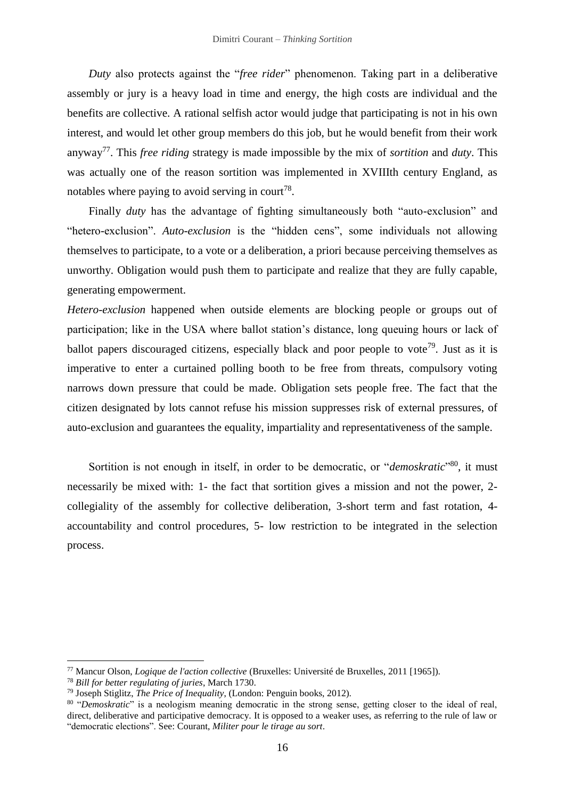*Duty* also protects against the "*free rider*" phenomenon. Taking part in a deliberative assembly or jury is a heavy load in time and energy, the high costs are individual and the benefits are collective. A rational selfish actor would judge that participating is not in his own interest, and would let other group members do this job, but he would benefit from their work anyway<sup>77</sup>. This *free riding* strategy is made impossible by the mix of *sortition* and *duty*. This was actually one of the reason sortition was implemented in XVIIIth century England, as notables where paying to avoid serving in court<sup>78</sup>.

Finally *duty* has the advantage of fighting simultaneously both "auto-exclusion" and "hetero-exclusion". *Auto-exclusion* is the "hidden cens", some individuals not allowing themselves to participate, to a vote or a deliberation, a priori because perceiving themselves as unworthy. Obligation would push them to participate and realize that they are fully capable, generating empowerment.

*Hetero-exclusion* happened when outside elements are blocking people or groups out of participation; like in the USA where ballot station's distance, long queuing hours or lack of ballot papers discouraged citizens, especially black and poor people to vote<sup>79</sup>. Just as it is imperative to enter a curtained polling booth to be free from threats, compulsory voting narrows down pressure that could be made. Obligation sets people free. The fact that the citizen designated by lots cannot refuse his mission suppresses risk of external pressures, of auto-exclusion and guarantees the equality, impartiality and representativeness of the sample.

Sortition is not enough in itself, in order to be democratic, or "*demoskratic*"<sup>80</sup>, it must necessarily be mixed with: 1- the fact that sortition gives a mission and not the power, 2 collegiality of the assembly for collective deliberation, 3-short term and fast rotation, 4 accountability and control procedures, 5- low restriction to be integrated in the selection process.

<sup>77</sup> Mancur Olson, *Logique de l'action collective* (Bruxelles: Université de Bruxelles, 2011 [1965]).

<sup>78</sup> *Bill for better regulating of juries*, March 1730.

<sup>79</sup> Joseph Stiglitz, *The Price of Inequality*, (London: Penguin books, 2012).

<sup>80</sup> "*Demoskratic*" is a neologism meaning democratic in the strong sense, getting closer to the ideal of real, direct, deliberative and participative democracy. It is opposed to a weaker uses, as referring to the rule of law or "democratic elections". See: Courant, *Militer pour le tirage au sort*.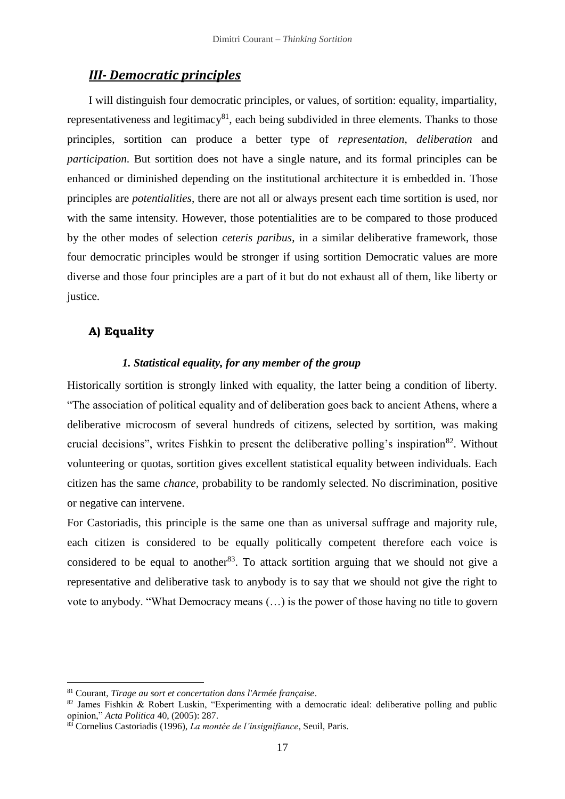## *III- Democratic principles*

I will distinguish four democratic principles, or values, of sortition: equality, impartiality, representativeness and legitimacy<sup>81</sup>, each being subdivided in three elements. Thanks to those principles, sortition can produce a better type of *representation*, *deliberation* and *participation*. But sortition does not have a single nature, and its formal principles can be enhanced or diminished depending on the institutional architecture it is embedded in. Those principles are *potentialities*, there are not all or always present each time sortition is used, nor with the same intensity. However, those potentialities are to be compared to those produced by the other modes of selection *ceteris paribus*, in a similar deliberative framework, those four democratic principles would be stronger if using sortition Democratic values are more diverse and those four principles are a part of it but do not exhaust all of them, like liberty or justice.

# **A) Equality**

1

### *1. Statistical equality, for any member of the group*

Historically sortition is strongly linked with equality, the latter being a condition of liberty. "The association of political equality and of deliberation goes back to ancient Athens, where a deliberative microcosm of several hundreds of citizens, selected by sortition, was making crucial decisions", writes Fishkin to present the deliberative polling's inspiration<sup>82</sup>. Without volunteering or quotas, sortition gives excellent statistical equality between individuals. Each citizen has the same *chance*, probability to be randomly selected. No discrimination, positive or negative can intervene.

For Castoriadis, this principle is the same one than as universal suffrage and majority rule, each citizen is considered to be equally politically competent therefore each voice is considered to be equal to another<sup>83</sup>. To attack sortition arguing that we should not give a representative and deliberative task to anybody is to say that we should not give the right to vote to anybody. "What Democracy means (…) is the power of those having no title to govern

<sup>81</sup> Courant, *Tirage au sort et concertation dans l'Armée française*.

<sup>&</sup>lt;sup>82</sup> James Fishkin & Robert Luskin, "Experimenting with a democratic ideal: deliberative polling and public opinion," *Acta Politica* 40, (2005): 287.

<sup>83</sup> Cornelius Castoriadis (1996), *La montée de l'insignifiance*, Seuil, Paris.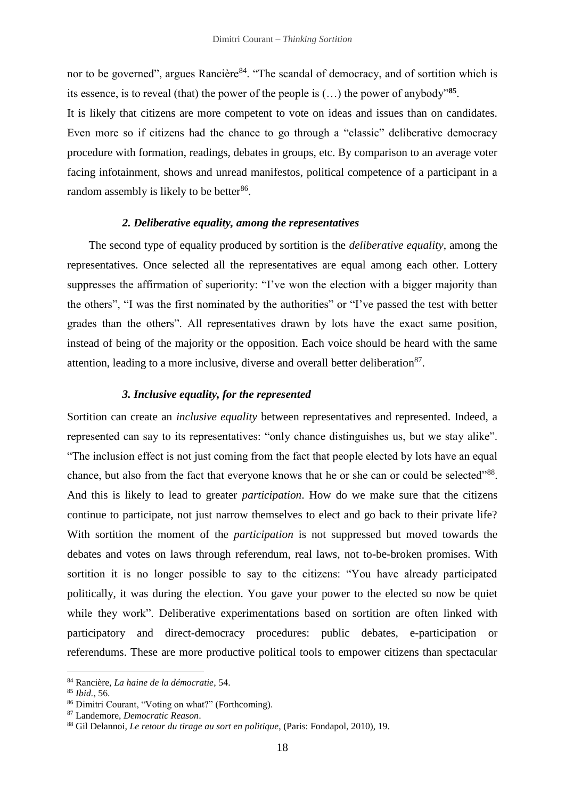nor to be governed", argues Rancière<sup>84</sup>. "The scandal of democracy, and of sortition which is its essence, is to reveal (that) the power of the people is (…) the power of anybody"**<sup>85</sup>** .

It is likely that citizens are more competent to vote on ideas and issues than on candidates. Even more so if citizens had the chance to go through a "classic" deliberative democracy procedure with formation, readings, debates in groups, etc. By comparison to an average voter facing infotainment, shows and unread manifestos, political competence of a participant in a random assembly is likely to be better<sup>86</sup>.

### *2. Deliberative equality, among the representatives*

The second type of equality produced by sortition is the *deliberative equality*, among the representatives. Once selected all the representatives are equal among each other. Lottery suppresses the affirmation of superiority: "I've won the election with a bigger majority than the others", "I was the first nominated by the authorities" or "I've passed the test with better grades than the others". All representatives drawn by lots have the exact same position, instead of being of the majority or the opposition. Each voice should be heard with the same attention, leading to a more inclusive, diverse and overall better deliberation<sup>87</sup>.

#### *3. Inclusive equality, for the represented*

Sortition can create an *inclusive equality* between representatives and represented. Indeed, a represented can say to its representatives: "only chance distinguishes us, but we stay alike". "The inclusion effect is not just coming from the fact that people elected by lots have an equal chance, but also from the fact that everyone knows that he or she can or could be selected"<sup>88</sup>. And this is likely to lead to greater *participation*. How do we make sure that the citizens continue to participate, not just narrow themselves to elect and go back to their private life? With sortition the moment of the *participation* is not suppressed but moved towards the debates and votes on laws through referendum, real laws, not to-be-broken promises. With sortition it is no longer possible to say to the citizens: "You have already participated politically, it was during the election. You gave your power to the elected so now be quiet while they work". Deliberative experimentations based on sortition are often linked with participatory and direct-democracy procedures: public debates, e-participation or referendums. These are more productive political tools to empower citizens than spectacular

<sup>84</sup> Rancière, *La haine de la démocratie*, 54.

<sup>85</sup> *Ibid.*, 56.

<sup>86</sup> Dimitri Courant, "Voting on what?" (Forthcoming).

<sup>87</sup> Landemore, *Democratic Reason*.

<sup>88</sup> Gil Delannoi, *Le retour du tirage au sort en politique*, (Paris: Fondapol, 2010), 19.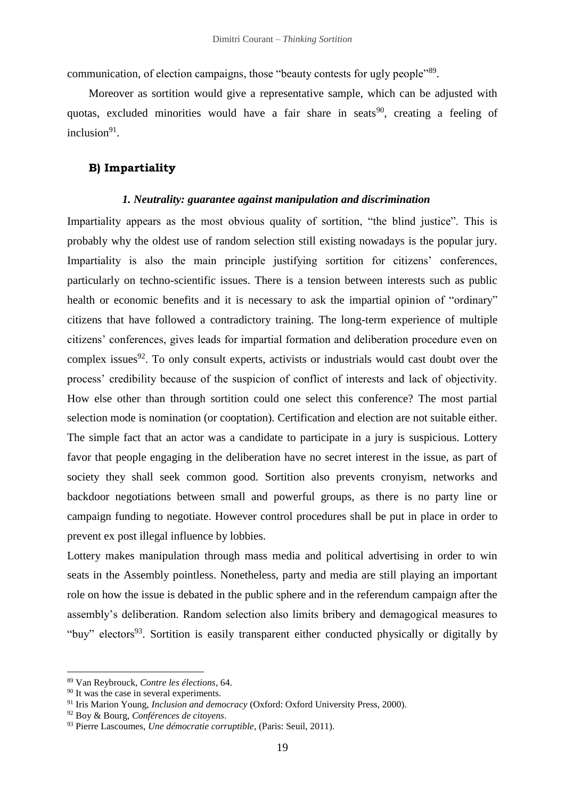communication, of election campaigns, those "beauty contests for ugly people"<sup>89</sup>.

Moreover as sortition would give a representative sample, which can be adjusted with quotas, excluded minorities would have a fair share in seats<sup>90</sup>, creating a feeling of inclusion<sup>91</sup>.

### **B) Impartiality**

### *1. Neutrality: guarantee against manipulation and discrimination*

Impartiality appears as the most obvious quality of sortition, "the blind justice". This is probably why the oldest use of random selection still existing nowadays is the popular jury. Impartiality is also the main principle justifying sortition for citizens' conferences, particularly on techno-scientific issues. There is a tension between interests such as public health or economic benefits and it is necessary to ask the impartial opinion of "ordinary" citizens that have followed a contradictory training. The long-term experience of multiple citizens' conferences, gives leads for impartial formation and deliberation procedure even on complex issues<sup>92</sup>. To only consult experts, activists or industrials would cast doubt over the process' credibility because of the suspicion of conflict of interests and lack of objectivity. How else other than through sortition could one select this conference? The most partial selection mode is nomination (or cooptation). Certification and election are not suitable either. The simple fact that an actor was a candidate to participate in a jury is suspicious. Lottery favor that people engaging in the deliberation have no secret interest in the issue, as part of society they shall seek common good. Sortition also prevents cronyism, networks and backdoor negotiations between small and powerful groups, as there is no party line or campaign funding to negotiate. However control procedures shall be put in place in order to prevent ex post illegal influence by lobbies.

Lottery makes manipulation through mass media and political advertising in order to win seats in the Assembly pointless. Nonetheless, party and media are still playing an important role on how the issue is debated in the public sphere and in the referendum campaign after the assembly's deliberation. Random selection also limits bribery and demagogical measures to "buy" electors<sup>93</sup>. Sortition is easily transparent either conducted physically or digitally by

<sup>89</sup> Van Reybrouck, *Contre les élections*, 64.

<sup>&</sup>lt;sup>90</sup> It was the case in several experiments.

<sup>&</sup>lt;sup>91</sup> Iris Marion Young, *[Inclusion and democracy](https://en.wikipedia.org/wiki/Inclusion_and_Democracy)* (Oxford: Oxford University Press, 2000).

<sup>92</sup> Boy & Bourg, *Conférences de citoyens*.

<sup>93</sup> Pierre Lascoumes, *Une démocratie corruptible*, (Paris: Seuil, 2011).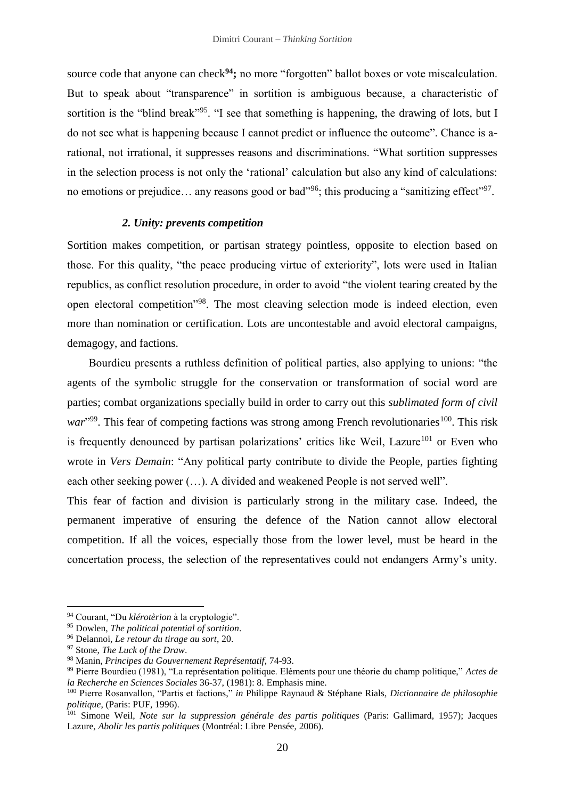source code that anyone can check**<sup>94</sup>;** no more "forgotten" ballot boxes or vote miscalculation. But to speak about "transparence" in sortition is ambiguous because, a characteristic of sortition is the "blind break"<sup>95</sup>. "I see that something is happening, the drawing of lots, but I do not see what is happening because I cannot predict or influence the outcome". Chance is arational, not irrational, it suppresses reasons and discriminations. "What sortition suppresses in the selection process is not only the 'rational' calculation but also any kind of calculations: no emotions or prejudice... any reasons good or bad"<sup>96</sup>; this producing a "sanitizing effect"<sup>97</sup>.

### *2. Unity: prevents competition*

Sortition makes competition, or partisan strategy pointless, opposite to election based on those. For this quality, "the peace producing virtue of exteriority", lots were used in Italian republics, as conflict resolution procedure, in order to avoid "the violent tearing created by the open electoral competition"<sup>98</sup>. The most cleaving selection mode is indeed election, even more than nomination or certification. Lots are uncontestable and avoid electoral campaigns, demagogy, and factions.

Bourdieu presents a ruthless definition of political parties, also applying to unions: "the agents of the symbolic struggle for the conservation or transformation of social word are parties; combat organizations specially build in order to carry out this *sublimated form of civil*  war<sup>"99</sup>. This fear of competing factions was strong among French revolutionaries<sup>100</sup>. This risk is frequently denounced by partisan polarizations' critics like Weil, Lazure<sup>101</sup> or Even who wrote in *Vers Demain*: "Any political party contribute to divide the People, parties fighting each other seeking power (…). A divided and weakened People is not served well".

This fear of faction and division is particularly strong in the military case. Indeed, the permanent imperative of ensuring the defence of the Nation cannot allow electoral competition. If all the voices, especially those from the lower level, must be heard in the concertation process, the selection of the representatives could not endangers Army's unity.

<sup>94</sup> Courant, "Du *klérotèrion* à la cryptologie".

<sup>95</sup> Dowlen, *The political potential of sortition*.

<sup>96</sup> Delannoi, *Le retour du tirage au sort*, 20.

<sup>97</sup> Stone, *The Luck of the Draw*.

<sup>98</sup> Manin, *Principes du Gouvernement Représentatif*, 74-93.

<sup>99</sup> Pierre Bourdieu (1981), "La représentation politique. Eléments pour une théorie du champ politique," *Actes de la Recherche en Sciences Sociales* 36-37, (1981): 8. Emphasis mine.

<sup>100</sup> Pierre Rosanvallon, "Partis et factions," *in* Philippe Raynaud & Stéphane Rials, *Dictionnaire de philosophie politique*, (Paris: PUF, 1996).

<sup>101</sup> Simone Weil, *Note sur la suppression générale des partis politiques* (Paris: Gallimard, 1957); Jacques Lazure, *Abolir les partis politiques* (Montréal: Libre Pensée, 2006).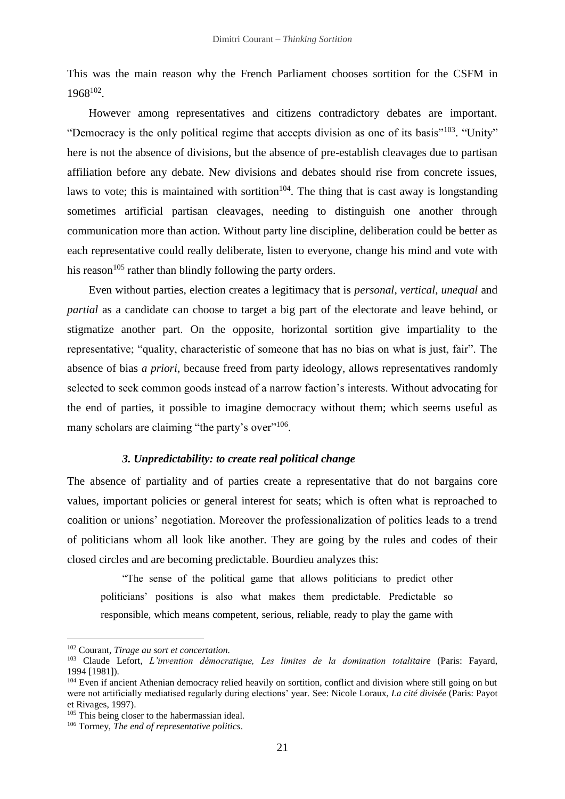This was the main reason why the French Parliament chooses sortition for the CSFM in 1968<sup>102</sup> .

However among representatives and citizens contradictory debates are important. "Democracy is the only political regime that accepts division as one of its basis"<sup>103</sup>. "Unity" here is not the absence of divisions, but the absence of pre-establish cleavages due to partisan affiliation before any debate. New divisions and debates should rise from concrete issues, laws to vote; this is maintained with sortition<sup>104</sup>. The thing that is cast away is longstanding sometimes artificial partisan cleavages, needing to distinguish one another through communication more than action. Without party line discipline, deliberation could be better as each representative could really deliberate, listen to everyone, change his mind and vote with his reason<sup>105</sup> rather than blindly following the party orders.

Even without parties, election creates a legitimacy that is *personal*, *vertical*, *unequal* and *partial* as a candidate can choose to target a big part of the electorate and leave behind, or stigmatize another part. On the opposite, horizontal sortition give impartiality to the representative; "quality, characteristic of someone that has no bias on what is just, fair". The absence of bias *a priori*, because freed from party ideology, allows representatives randomly selected to seek common goods instead of a narrow faction's interests. Without advocating for the end of parties, it possible to imagine democracy without them; which seems useful as many scholars are claiming "the party's over"<sup>106</sup>.

#### *3. Unpredictability: to create real political change*

The absence of partiality and of parties create a representative that do not bargains core values, important policies or general interest for seats; which is often what is reproached to coalition or unions' negotiation. Moreover the professionalization of politics leads to a trend of politicians whom all look like another. They are going by the rules and codes of their closed circles and are becoming predictable. Bourdieu analyzes this:

"The sense of the political game that allows politicians to predict other politicians' positions is also what makes them predictable. Predictable so responsible, which means competent, serious, reliable, ready to play the game with

<sup>102</sup> Courant, *Tirage au sort et concertation.*

<sup>103</sup> Claude Lefort, *L'invention démocratique, Les limites de la domination totalitaire* (Paris: Fayard, 1994 [1981]).

<sup>&</sup>lt;sup>104</sup> Even if ancient Athenian democracy relied heavily on sortition, conflict and division where still going on but were not artificially mediatised regularly during elections' year. See: Nicole Loraux, *La cité divisée* (Paris: Payot et Rivages, 1997).

<sup>&</sup>lt;sup>105</sup> This being closer to the habermassian ideal.

<sup>106</sup> Tormey, *The end of representative politics*.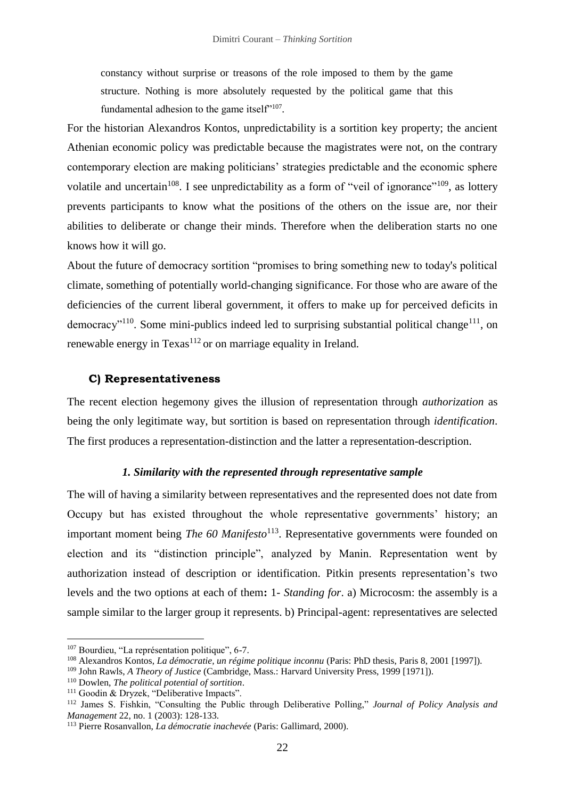constancy without surprise or treasons of the role imposed to them by the game structure. Nothing is more absolutely requested by the political game that this fundamental adhesion to the game itself"<sup>107</sup>.

For the historian Alexandros Kontos, unpredictability is a sortition key property; the ancient Athenian economic policy was predictable because the magistrates were not, on the contrary contemporary election are making politicians' strategies predictable and the economic sphere volatile and uncertain<sup>108</sup>. I see unpredictability as a form of "veil of ignorance"<sup>109</sup>, as lottery prevents participants to know what the positions of the others on the issue are, nor their abilities to deliberate or change their minds. Therefore when the deliberation starts no one knows how it will go.

About the future of democracy sortition "promises to bring something new to today's political climate, something of potentially world-changing significance. For those who are aware of the deficiencies of the current liberal government, it offers to make up for perceived deficits in democracy"<sup>110</sup>. Some mini-publics indeed led to surprising substantial political change<sup>111</sup>, on renewable energy in Texas<sup>112</sup> or on marriage equality in Ireland.

### **C) Representativeness**

The recent election hegemony gives the illusion of representation through *authorization* as being the only legitimate way, but sortition is based on representation through *identification*. The first produces a representation-distinction and the latter a representation-description.

## *1. Similarity with the represented through representative sample*

The will of having a similarity between representatives and the represented does not date from Occupy but has existed throughout the whole representative governments' history; an important moment being *The 60 Manifesto*<sup>113</sup>. Representative governments were founded on election and its "distinction principle", analyzed by Manin. Representation went by authorization instead of description or identification. Pitkin presents representation's two levels and the two options at each of them**:** 1- *Standing for*. a) Microcosm: the assembly is a sample similar to the larger group it represents. b) Principal-agent: representatives are selected

<sup>107</sup> Bourdieu, "La représentation politique", 6-7.

<sup>108</sup> Alexandros Kontos, *La démocratie, un régime politique inconnu* (Paris: PhD thesis, Paris 8, 2001 [1997])*.*

<sup>109</sup> John Rawls, *A Theory of Justice* (Cambridge, Mass.: Harvard University Press, 1999 [1971]).

<sup>110</sup> Dowlen, *The political potential of sortition*.

<sup>&</sup>lt;sup>111</sup> Goodin & Dryzek, "Deliberative Impacts".

<sup>112</sup> James S. Fishkin, "Consulting the Public through Deliberative Polling," *Journal of Policy Analysis and Management* 22, no. 1 (2003): 128-133.

<sup>113</sup> Pierre Rosanvallon, *La démocratie inachevée* (Paris: Gallimard, 2000).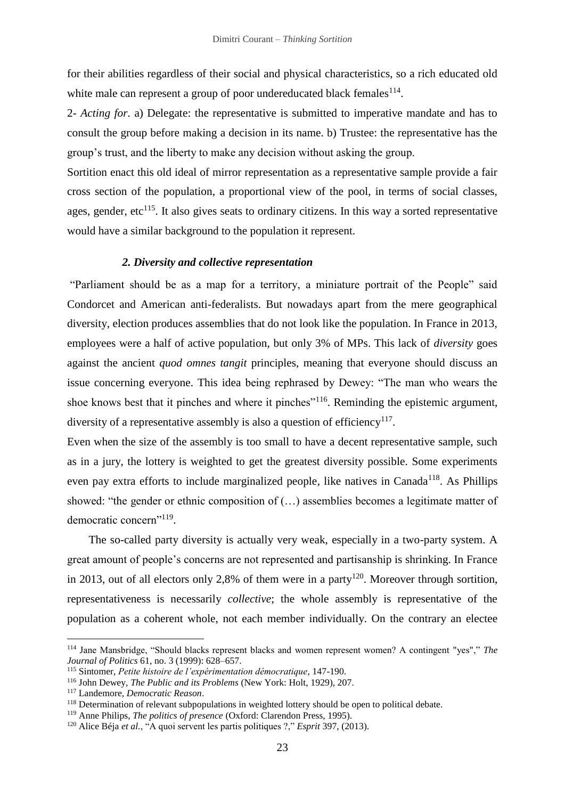for their abilities regardless of their social and physical characteristics, so a rich educated old white male can represent a group of poor undereducated black females $114$ .

2- *Acting for*. a) Delegate: the representative is submitted to imperative mandate and has to consult the group before making a decision in its name. b) Trustee: the representative has the group's trust, and the liberty to make any decision without asking the group.

Sortition enact this old ideal of mirror representation as a representative sample provide a fair cross section of the population, a proportional view of the pool, in terms of social classes, ages, gender,  $etc^{115}$ . It also gives seats to ordinary citizens. In this way a sorted representative would have a similar background to the population it represent.

### *2. Diversity and collective representation*

"Parliament should be as a map for a territory, a miniature portrait of the People" said Condorcet and American anti-federalists. But nowadays apart from the mere geographical diversity, election produces assemblies that do not look like the population. In France in 2013, employees were a half of active population, but only 3% of MPs. This lack of *diversity* goes against the ancient *quod omnes tangit* principles, meaning that everyone should discuss an issue concerning everyone. This idea being rephrased by Dewey: "The man who wears the shoe knows best that it pinches and where it pinches<sup>"116</sup>. Reminding the epistemic argument, diversity of a representative assembly is also a question of efficiency<sup>117</sup>.

Even when the size of the assembly is too small to have a decent representative sample, such as in a jury, the lottery is weighted to get the greatest diversity possible. Some experiments even pay extra efforts to include marginalized people, like natives in Canada<sup>118</sup>. As Phillips showed: "the gender or ethnic composition of (…) assemblies becomes a legitimate matter of democratic concern"<sup>119</sup>.

The so-called party diversity is actually very weak, especially in a two-party system. A great amount of people's concerns are not represented and partisanship is shrinking. In France in 2013, out of all electors only 2,8% of them were in a party<sup>120</sup>. Moreover through sortition, representativeness is necessarily *collective*; the whole assembly is representative of the population as a coherent whole, not each member individually. On the contrary an electee

<sup>114</sup> Jane Mansbridge, "Should blacks represent blacks and women represent women? A contingent "yes"," *The Journal of Politics* 61, no. 3 (1999): 628–657.

<sup>115</sup> Sintomer, *Petite histoire de l'expérimentation démocratique*, 147-190.

<sup>116</sup> John Dewey, *The Public and its Problems* (New York: Holt, 1929), 207.

<sup>117</sup> Landemore, *Democratic Reason*.

<sup>&</sup>lt;sup>118</sup> Determination of relevant subpopulations in weighted lottery should be open to political debate.

<sup>119</sup> Anne Philips, *The politics of presence* (Oxford: Clarendon Press, 1995).

<sup>120</sup> Alice Béja *et al.*, "A quoi servent les partis politiques ?," *Esprit* 397, (2013).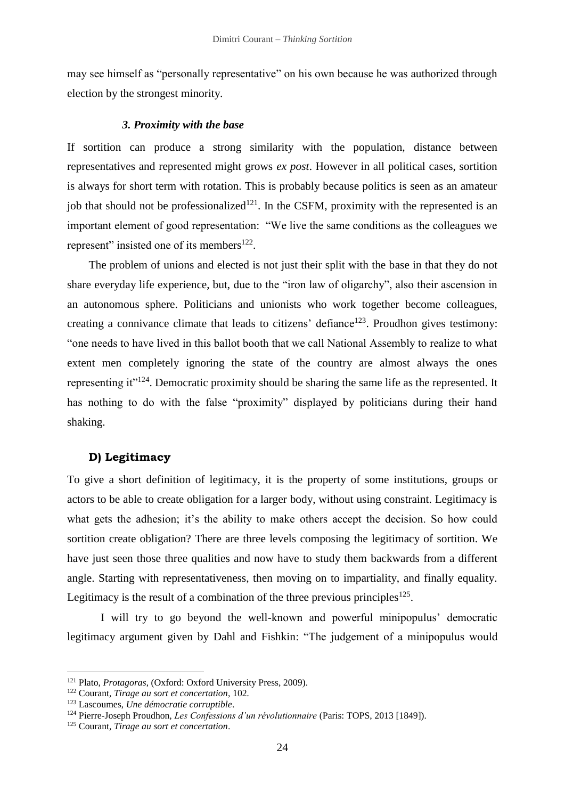may see himself as "personally representative" on his own because he was authorized through election by the strongest minority.

#### *3. Proximity with the base*

If sortition can produce a strong similarity with the population, distance between representatives and represented might grows *ex post*. However in all political cases, sortition is always for short term with rotation. This is probably because politics is seen as an amateur job that should not be professionalized<sup>121</sup>. In the CSFM, proximity with the represented is an important element of good representation: "We live the same conditions as the colleagues we represent" insisted one of its members $^{122}$ .

The problem of unions and elected is not just their split with the base in that they do not share everyday life experience, but, due to the "iron law of oligarchy", also their ascension in an autonomous sphere. Politicians and unionists who work together become colleagues, creating a connivance climate that leads to citizens' defiance<sup>123</sup>. Proudhon gives testimony: "one needs to have lived in this ballot booth that we call National Assembly to realize to what extent men completely ignoring the state of the country are almost always the ones representing it"<sup>124</sup>. Democratic proximity should be sharing the same life as the represented. It has nothing to do with the false "proximity" displayed by politicians during their hand shaking.

### **D) Legitimacy**

To give a short definition of legitimacy, it is the property of some institutions, groups or actors to be able to create obligation for a larger body, without using constraint. Legitimacy is what gets the adhesion; it's the ability to make others accept the decision. So how could sortition create obligation? There are three levels composing the legitimacy of sortition. We have just seen those three qualities and now have to study them backwards from a different angle. Starting with representativeness, then moving on to impartiality, and finally equality. Legitimacy is the result of a combination of the three previous principles  $125$ .

I will try to go beyond the well-known and powerful minipopulus' democratic legitimacy argument given by Dahl and Fishkin: "The judgement of a minipopulus would

<sup>121</sup> Plato, *Protagoras*, (Oxford: Oxford University Press, 2009).

<sup>122</sup> Courant, *Tirage au sort et concertation*, 102*.*

<sup>123</sup> Lascoumes, *Une démocratie corruptible*.

<sup>124</sup> Pierre-Joseph Proudhon, *Les Confessions d'un révolutionnaire* (Paris: TOPS, 2013 [1849]).

<sup>125</sup> Courant, *Tirage au sort et concertation*.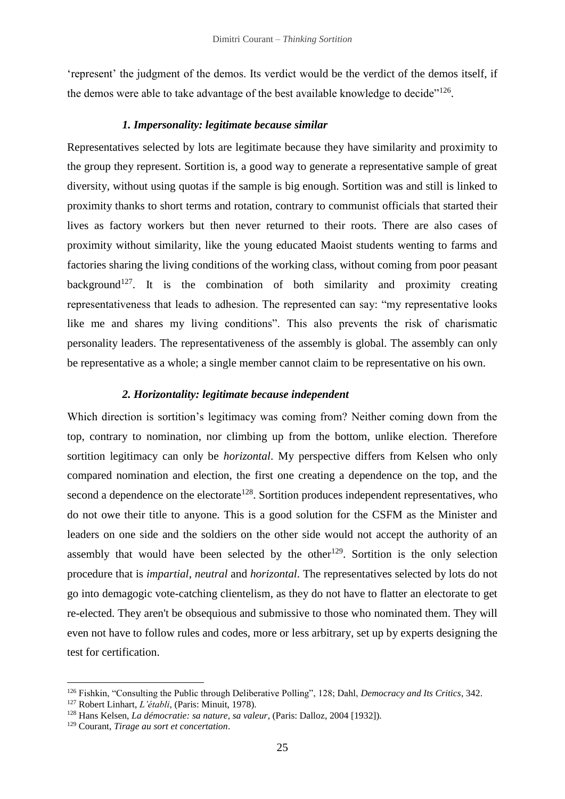'represent' the judgment of the demos. Its verdict would be the verdict of the demos itself, if the demos were able to take advantage of the best available knowledge to decide"<sup>126</sup>.

### *1. Impersonality: legitimate because similar*

Representatives selected by lots are legitimate because they have similarity and proximity to the group they represent. Sortition is, a good way to generate a representative sample of great diversity, without using quotas if the sample is big enough. Sortition was and still is linked to proximity thanks to short terms and rotation, contrary to communist officials that started their lives as factory workers but then never returned to their roots. There are also cases of proximity without similarity, like the young educated Maoist students wenting to farms and factories sharing the living conditions of the working class, without coming from poor peasant background<sup>127</sup>. It is the combination of both similarity and proximity creating representativeness that leads to adhesion. The represented can say: "my representative looks like me and shares my living conditions". This also prevents the risk of charismatic personality leaders. The representativeness of the assembly is global. The assembly can only be representative as a whole; a single member cannot claim to be representative on his own.

### *2. Horizontality: legitimate because independent*

Which direction is sortition's legitimacy was coming from? Neither coming down from the top, contrary to nomination, nor climbing up from the bottom, unlike election. Therefore sortition legitimacy can only be *horizontal*. My perspective differs from Kelsen who only compared nomination and election, the first one creating a dependence on the top, and the second a dependence on the electorate<sup>128</sup>. Sortition produces independent representatives, who do not owe their title to anyone. This is a good solution for the CSFM as the Minister and leaders on one side and the soldiers on the other side would not accept the authority of an assembly that would have been selected by the other<sup>129</sup>. Sortition is the only selection procedure that is *impartial*, *neutral* and *horizontal*. The representatives selected by lots do not go into demagogic vote-catching clientelism, as they do not have to flatter an electorate to get re-elected. They aren't be obsequious and submissive to those who nominated them. They will even not have to follow rules and codes, more or less arbitrary, set up by experts designing the test for certification.

<sup>126</sup> Fishkin, "Consulting the Public through Deliberative Polling", 128; Dahl, *Democracy and Its Critics*, 342.

<sup>127</sup> Robert Linhart, *L'établi*, (Paris: Minuit, 1978).

<sup>128</sup> Hans Kelsen, *La démocratie: sa nature, sa valeur*, (Paris: Dalloz, 2004 [1932]).

<sup>129</sup> Courant, *Tirage au sort et concertation*.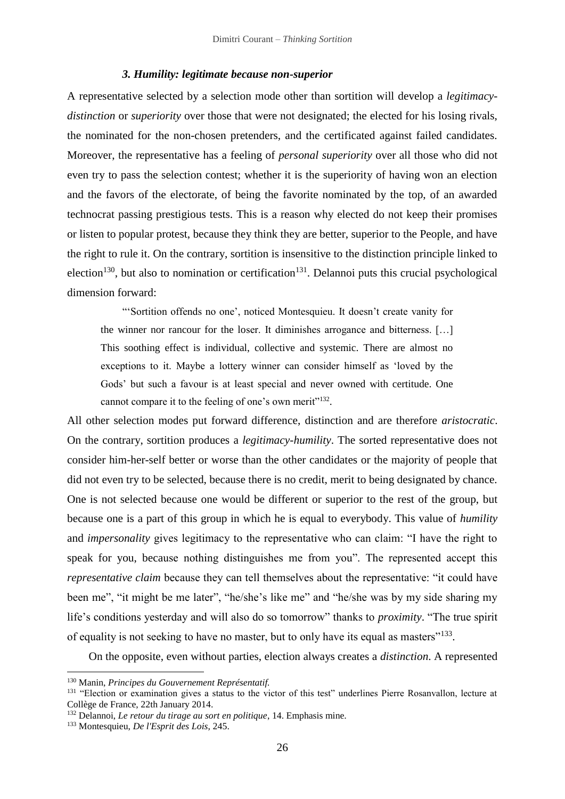### *3. Humility: legitimate because non-superior*

A representative selected by a selection mode other than sortition will develop a *legitimacydistinction* or *superiority* over those that were not designated; the elected for his losing rivals, the nominated for the non-chosen pretenders, and the certificated against failed candidates. Moreover, the representative has a feeling of *personal superiority* over all those who did not even try to pass the selection contest; whether it is the superiority of having won an election and the favors of the electorate, of being the favorite nominated by the top, of an awarded technocrat passing prestigious tests. This is a reason why elected do not keep their promises or listen to popular protest, because they think they are better, superior to the People, and have the right to rule it. On the contrary, sortition is insensitive to the distinction principle linked to election<sup>130</sup>, but also to nomination or certification<sup>131</sup>. Delannoi puts this crucial psychological dimension forward:

"'Sortition offends no one', noticed Montesquieu. It doesn't create vanity for the winner nor rancour for the loser. It diminishes arrogance and bitterness. […] This soothing effect is individual, collective and systemic. There are almost no exceptions to it. Maybe a lottery winner can consider himself as 'loved by the Gods' but such a favour is at least special and never owned with certitude. One cannot compare it to the feeling of one's own merit"<sup>132</sup>.

All other selection modes put forward difference, distinction and are therefore *aristocratic*. On the contrary, sortition produces a *legitimacy-humility*. The sorted representative does not consider him-her-self better or worse than the other candidates or the majority of people that did not even try to be selected, because there is no credit, merit to being designated by chance. One is not selected because one would be different or superior to the rest of the group, but because one is a part of this group in which he is equal to everybody. This value of *humility* and *impersonality* gives legitimacy to the representative who can claim: "I have the right to speak for you, because nothing distinguishes me from you". The represented accept this *representative claim* because they can tell themselves about the representative: "it could have been me", "it might be me later", "he/she's like me" and "he/she was by my side sharing my life's conditions yesterday and will also do so tomorrow" thanks to *proximity*. "The true spirit of equality is not seeking to have no master, but to only have its equal as masters"<sup>133</sup>.

On the opposite, even without parties, election always creates a *distinction*. A represented

<sup>130</sup> Manin, *Principes du Gouvernement Représentatif.*

<sup>&</sup>lt;sup>131</sup> "Election or examination gives a status to the victor of this test" underlines Pierre Rosanvallon, lecture at Collège de France, 22th January 2014.

<sup>132</sup> Delannoi, *Le retour du tirage au sort en politique*, 14. Emphasis mine.

<sup>133</sup> Montesquieu, *De l'Esprit des Lois*, 245.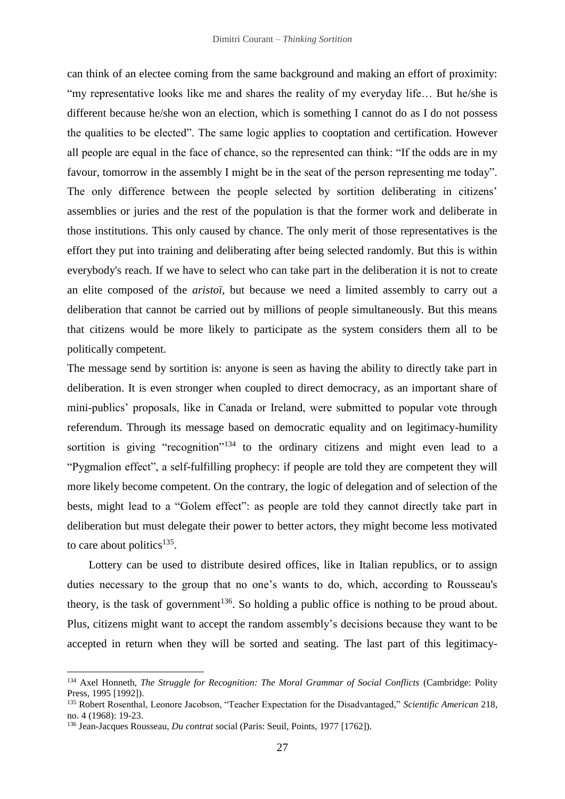can think of an electee coming from the same background and making an effort of proximity: "my representative looks like me and shares the reality of my everyday life… But he/she is different because he/she won an election, which is something I cannot do as I do not possess the qualities to be elected". The same logic applies to cooptation and certification. However all people are equal in the face of chance, so the represented can think: "If the odds are in my favour, tomorrow in the assembly I might be in the seat of the person representing me today". The only difference between the people selected by sortition deliberating in citizens' assemblies or juries and the rest of the population is that the former work and deliberate in those institutions. This only caused by chance. The only merit of those representatives is the effort they put into training and deliberating after being selected randomly. But this is within everybody's reach. If we have to select who can take part in the deliberation it is not to create an elite composed of the *aristoï*, but because we need a limited assembly to carry out a deliberation that cannot be carried out by millions of people simultaneously. But this means that citizens would be more likely to participate as the system considers them all to be politically competent.

The message send by sortition is: anyone is seen as having the ability to directly take part in deliberation. It is even stronger when coupled to direct democracy, as an important share of mini-publics' proposals, like in Canada or Ireland, were submitted to popular vote through referendum. Through its message based on democratic equality and on legitimacy-humility sortition is giving "recognition"<sup>134</sup> to the ordinary citizens and might even lead to a "Pygmalion effect", a self-fulfilling prophecy: if people are told they are competent they will more likely become competent. On the contrary, the logic of delegation and of selection of the bests, might lead to a "Golem effect": as people are told they cannot directly take part in deliberation but must delegate their power to better actors, they might become less motivated to care about politics $^{135}$ .

Lottery can be used to distribute desired offices, like in Italian republics, or to assign duties necessary to the group that no one's wants to do, which, according to Rousseau's theory, is the task of government<sup>136</sup>. So holding a public office is nothing to be proud about. Plus, citizens might want to accept the random assembly's decisions because they want to be accepted in return when they will be sorted and seating. The last part of this legitimacy-

<sup>134</sup> Axel Honneth, *The Struggle for Recognition: The Moral Grammar of Social Conflicts* (Cambridge: Polity Press, 1995 [1992]).

<sup>135</sup> Robert Rosenthal, Leonore Jacobson, "Teacher Expectation for the Disadvantaged," *Scientific American* 218, no. 4 (1968): 19-23.

<sup>136</sup> Jean-Jacques Rousseau, *Du contrat* social (Paris: Seuil, Points, 1977 [1762]).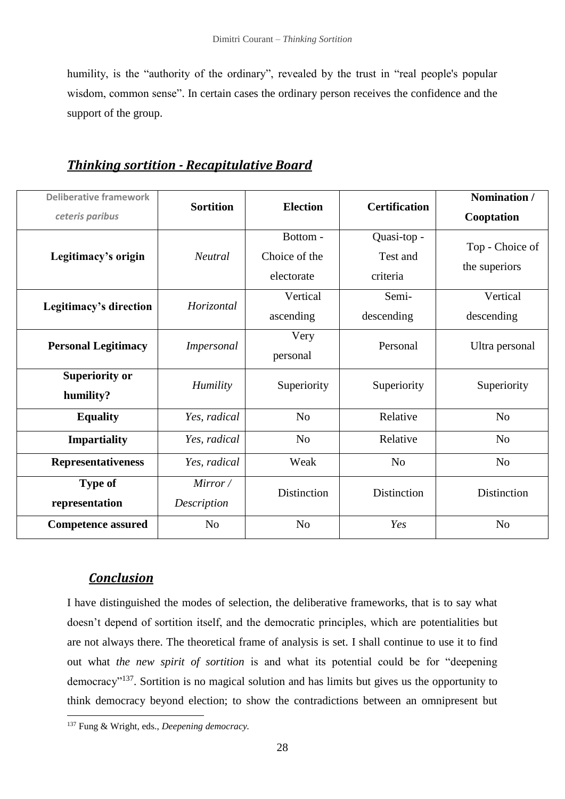humility, is the "authority of the ordinary", revealed by the trust in "real people's popular wisdom, common sense". In certain cases the ordinary person receives the confidence and the support of the group.

# *Thinking sortition - Recapitulative Board*

| <b>Deliberative framework</b>      | <b>Sortition</b>       | <b>Election</b>                        | <b>Certification</b>                | Nomination /                     |
|------------------------------------|------------------------|----------------------------------------|-------------------------------------|----------------------------------|
| ceteris paribus                    |                        |                                        |                                     | Cooptation                       |
| Legitimacy's origin                | <b>Neutral</b>         | Bottom-<br>Choice of the<br>electorate | Quasi-top -<br>Test and<br>criteria | Top - Choice of<br>the superiors |
| Legitimacy's direction             | <b>Horizontal</b>      | Vertical<br>ascending                  | Semi-<br>descending                 | Vertical<br>descending           |
| <b>Personal Legitimacy</b>         | Impersonal             | Very<br>personal                       | Personal                            | Ultra personal                   |
| <b>Superiority or</b><br>humility? | Humility               | Superiority                            | Superiority                         | Superiority                      |
| <b>Equality</b>                    | Yes, radical           | N <sub>o</sub>                         | Relative                            | N <sub>o</sub>                   |
| <b>Impartiality</b>                | Yes, radical           | N <sub>o</sub>                         | Relative                            | N <sub>o</sub>                   |
| <b>Representativeness</b>          | Yes, radical           | Weak                                   | N <sub>o</sub>                      | N <sub>o</sub>                   |
| <b>Type of</b><br>representation   | Mirror/<br>Description | Distinction                            | Distinction                         | Distinction                      |
| <b>Competence assured</b>          | N <sub>o</sub>         | N <sub>o</sub>                         | Yes                                 | N <sub>o</sub>                   |

## *Conclusion*

1

I have distinguished the modes of selection, the deliberative frameworks, that is to say what doesn't depend of sortition itself, and the democratic principles, which are potentialities but are not always there. The theoretical frame of analysis is set. I shall continue to use it to find out what *the new spirit of sortition* is and what its potential could be for "deepening democracy"<sup>137</sup>. Sortition is no magical solution and has limits but gives us the opportunity to think democracy beyond election; to show the contradictions between an omnipresent but

<sup>137</sup> Fung & Wright, eds., *Deepening democracy.*